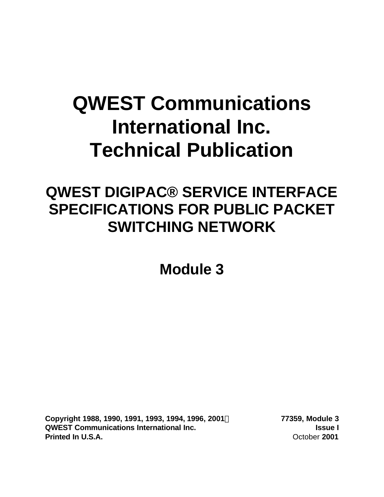# **QWEST Communications International Inc. Technical Publication**

## **QWEST DIGIPAC® SERVICE INTERFACE SPECIFICATIONS FOR PUBLIC PACKET SWITCHING NETWORK**

**Module 3**

**Copyright 1988, 1990, 1991, 1993, 1994, 1996, 2001Ó 77359, Module 3 QWEST Communications International Inc. Issue I Printed In U.S.A. COLORER 1001 COLORER 1001 COLORER 1001 COLORER 1001**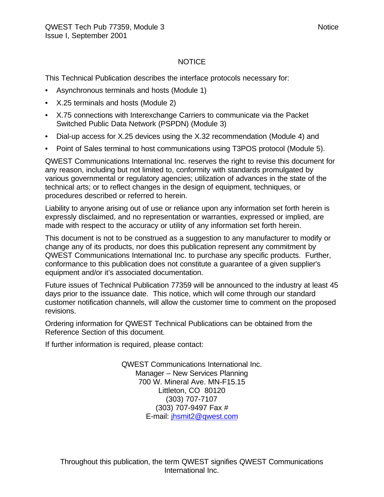#### **NOTICE**

This Technical Publication describes the interface protocols necessary for:

- Asynchronous terminals and hosts (Module 1)
- X.25 terminals and hosts (Module 2)
- X.75 connections with Interexchange Carriers to communicate via the Packet Switched Public Data Network (PSPDN) (Module 3)
- Dial-up access for X.25 devices using the X.32 recommendation (Module 4) and
- Point of Sales terminal to host communications using T3POS protocol (Module 5).

QWEST Communications International Inc. reserves the right to revise this document for any reason, including but not limited to, conformity with standards promulgated by various governmental or regulatory agencies; utilization of advances in the state of the technical arts; or to reflect changes in the design of equipment, techniques, or procedures described or referred to herein.

Liability to anyone arising out of use or reliance upon any information set forth herein is expressly disclaimed, and no representation or warranties, expressed or implied, are made with respect to the accuracy or utility of any information set forth herein.

This document is not to be construed as a suggestion to any manufacturer to modify or change any of its products, nor does this publication represent any commitment by QWEST Communications International Inc. to purchase any specific products. Further, conformance to this publication does not constitute a guarantee of a given supplier's equipment and/or it's associated documentation.

Future issues of Technical Publication 77359 will be announced to the industry at least 45 days prior to the issuance date. This notice, which will come through our standard customer notification channels, will allow the customer time to comment on the proposed revisions.

Ordering information for QWEST Technical Publications can be obtained from the Reference Section of this document.

If further information is required, please contact:

QWEST Communications International Inc. Manager – New Services Planning 700 W. Mineral Ave. MN-F15.15 Littleton, CO 80120 (303) 707-7107 (303) 707-9497 Fax # E-mail: jhsmit2@qwest.com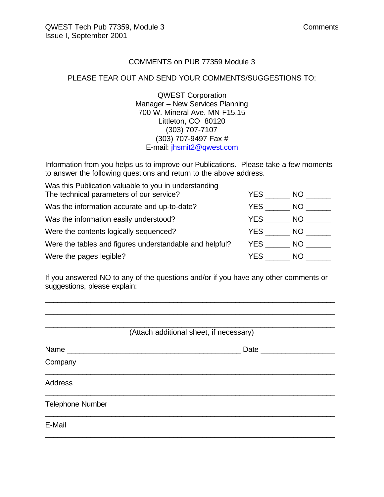#### COMMENTS on PUB 77359 Module 3

#### PLEASE TEAR OUT AND SEND YOUR COMMENTS/SUGGESTIONS TO:

QWEST Corporation Manager – New Services Planning 700 W. Mineral Ave. MN-F15.15 Littleton, CO 80120 (303) 707-7107 (303) 707-9497 Fax # E-mail: jhsmit2@qwest.com

Information from you helps us to improve our Publications. Please take a few moments to answer the following questions and return to the above address.

| Was this Publication valuable to you in understanding   |      |      |
|---------------------------------------------------------|------|------|
| The technical parameters of our service?                | YES. | NO.  |
| Was the information accurate and up-to-date?            | YES. | NO.  |
| Was the information easily understood?                  | YES  | NO.  |
| Were the contents logically sequenced?                  | YES  | NO - |
| Were the tables and figures understandable and helpful? | YES  | NO.  |
| Were the pages legible?                                 | YES  | NO.  |

If you answered NO to any of the questions and/or if you have any other comments or suggestions, please explain:

\_\_\_\_\_\_\_\_\_\_\_\_\_\_\_\_\_\_\_\_\_\_\_\_\_\_\_\_\_\_\_\_\_\_\_\_\_\_\_\_\_\_\_\_\_\_\_\_\_\_\_\_\_\_\_\_\_\_\_\_\_\_\_\_\_\_\_\_\_\_ \_\_\_\_\_\_\_\_\_\_\_\_\_\_\_\_\_\_\_\_\_\_\_\_\_\_\_\_\_\_\_\_\_\_\_\_\_\_\_\_\_\_\_\_\_\_\_\_\_\_\_\_\_\_\_\_\_\_\_\_\_\_\_\_\_\_\_\_\_\_

| (Attach additional sheet, if necessary) |                     |  |  |  |  |  |
|-----------------------------------------|---------------------|--|--|--|--|--|
| Name                                    | Date ______________ |  |  |  |  |  |
| Company                                 |                     |  |  |  |  |  |
| <b>Address</b>                          |                     |  |  |  |  |  |
| <b>Telephone Number</b>                 |                     |  |  |  |  |  |
| E-Mail                                  |                     |  |  |  |  |  |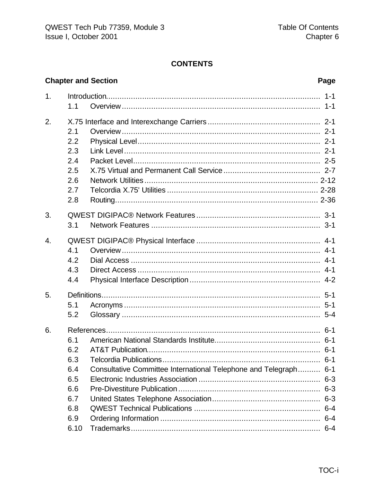#### **CONTENTS**

|                |      | <b>Chapter and Section</b>                                   | Page    |  |  |  |  |  |  |
|----------------|------|--------------------------------------------------------------|---------|--|--|--|--|--|--|
| 1 <sub>1</sub> |      |                                                              | $1 - 1$ |  |  |  |  |  |  |
|                | 1.1  |                                                              | $1 - 1$ |  |  |  |  |  |  |
| 2.             |      |                                                              |         |  |  |  |  |  |  |
|                | 2.1  |                                                              |         |  |  |  |  |  |  |
|                | 2.2  |                                                              |         |  |  |  |  |  |  |
|                | 2.3  |                                                              |         |  |  |  |  |  |  |
|                | 2.4  |                                                              |         |  |  |  |  |  |  |
|                | 2.5  |                                                              |         |  |  |  |  |  |  |
|                | 2.6  |                                                              |         |  |  |  |  |  |  |
|                | 2.7  |                                                              |         |  |  |  |  |  |  |
|                | 2.8  |                                                              |         |  |  |  |  |  |  |
| 3.             |      |                                                              |         |  |  |  |  |  |  |
|                | 3.1  |                                                              |         |  |  |  |  |  |  |
| 4.             |      |                                                              |         |  |  |  |  |  |  |
|                | 4.1  |                                                              | $4 - 1$ |  |  |  |  |  |  |
|                | 4.2  |                                                              | $4 - 1$ |  |  |  |  |  |  |
|                | 4.3  |                                                              |         |  |  |  |  |  |  |
|                | 4.4  |                                                              |         |  |  |  |  |  |  |
| 5.             |      |                                                              |         |  |  |  |  |  |  |
|                | 5.1  |                                                              | $5 - 1$ |  |  |  |  |  |  |
|                | 5.2  |                                                              |         |  |  |  |  |  |  |
| 6.             |      |                                                              |         |  |  |  |  |  |  |
|                | 6.1  |                                                              |         |  |  |  |  |  |  |
|                | 6.2  |                                                              |         |  |  |  |  |  |  |
|                | 6.3  |                                                              |         |  |  |  |  |  |  |
|                | 6.4  | Consultative Committee International Telephone and Telegraph | $6 - 1$ |  |  |  |  |  |  |
|                | 6.5  |                                                              |         |  |  |  |  |  |  |
|                | 6.6  |                                                              |         |  |  |  |  |  |  |
|                | 6.7  |                                                              | $6 - 3$ |  |  |  |  |  |  |
|                | 6.8  |                                                              |         |  |  |  |  |  |  |
|                | 6.9  |                                                              |         |  |  |  |  |  |  |
|                | 6.10 |                                                              |         |  |  |  |  |  |  |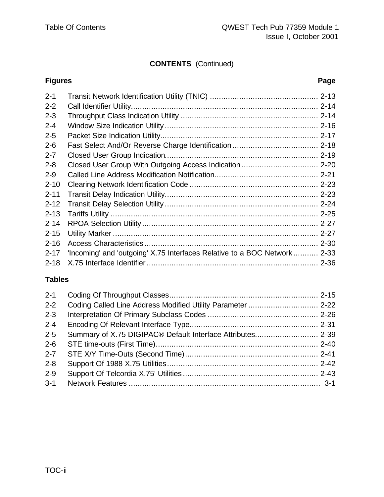#### **CONTENTS** (Continued)

### **Figures Page** 2-1 Transit Network Identification Utility (TNIC) ................................................ 2-13 2-2 Call Identifier Utility................................................................................... 2-14

| $2 - 3$  |                                                                          |  |
|----------|--------------------------------------------------------------------------|--|
| $2 - 4$  |                                                                          |  |
| $2 - 5$  |                                                                          |  |
| $2 - 6$  |                                                                          |  |
| $2 - 7$  |                                                                          |  |
| $2 - 8$  |                                                                          |  |
| $2 - 9$  |                                                                          |  |
| $2 - 10$ |                                                                          |  |
| $2 - 11$ |                                                                          |  |
| $2 - 12$ |                                                                          |  |
| $2 - 13$ |                                                                          |  |
| $2 - 14$ |                                                                          |  |
| $2 - 15$ |                                                                          |  |
| $2 - 16$ |                                                                          |  |
| $2 - 17$ | 'Incoming' and 'outgoing' X.75 Interfaces Relative to a BOC Network 2-33 |  |
|          |                                                                          |  |

#### **Tables**

| $2 - 1$ |                                                             |  |
|---------|-------------------------------------------------------------|--|
| $2 - 2$ | Coding Called Line Address Modified Utility Parameter  2-22 |  |
| $2 - 3$ |                                                             |  |
| $2 - 4$ |                                                             |  |
| $2 - 5$ |                                                             |  |
| $2 - 6$ |                                                             |  |
| $2 - 7$ |                                                             |  |
| $2 - 8$ |                                                             |  |
| $2 - 9$ |                                                             |  |
| $3 - 1$ |                                                             |  |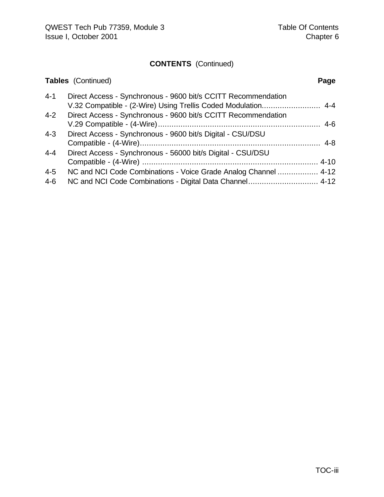### **CONTENTS** (Continued)

|         | <b>Tables</b> (Continued)                                       | Page |
|---------|-----------------------------------------------------------------|------|
| $4 - 1$ | Direct Access - Synchronous - 9600 bit/s CCITT Recommendation   |      |
| $4 - 2$ | Direct Access - Synchronous - 9600 bit/s CCITT Recommendation   |      |
| $4 - 3$ | Direct Access - Synchronous - 9600 bit/s Digital - CSU/DSU      |      |
| $4 - 4$ | Direct Access - Synchronous - 56000 bit/s Digital - CSU/DSU     |      |
| $4 - 5$ | NC and NCI Code Combinations - Voice Grade Analog Channel  4-12 |      |
| $4 - 6$ |                                                                 |      |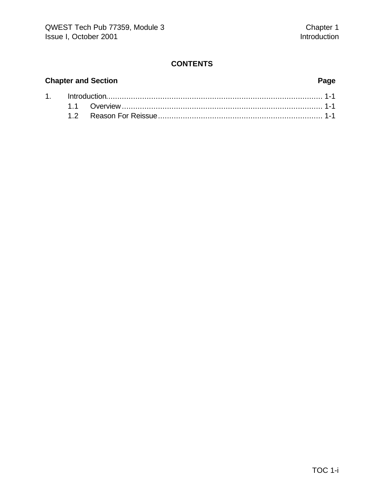#### **CONTENTS**

#### **Chapter and Section Page**

| 1. http://www.the.com/maria-1-1-and-0-1-2-1-and-0-2-1-and-0-2-2-and-0-2-and-0-2- |  |  |  |  |  |  |  |
|----------------------------------------------------------------------------------|--|--|--|--|--|--|--|
|                                                                                  |  |  |  |  |  |  |  |
|                                                                                  |  |  |  |  |  |  |  |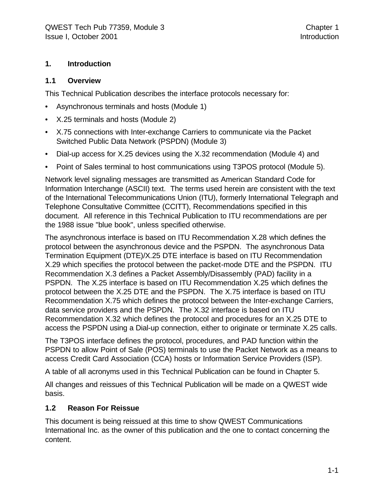#### **1. Introduction**

#### **1.1 Overview**

This Technical Publication describes the interface protocols necessary for:

- Asynchronous terminals and hosts (Module 1)
- X.25 terminals and hosts (Module 2)
- X.75 connections with Inter-exchange Carriers to communicate via the Packet Switched Public Data Network (PSPDN) (Module 3)
- Dial-up access for X.25 devices using the X.32 recommendation (Module 4) and
- Point of Sales terminal to host communications using T3POS protocol (Module 5).

Network level signaling messages are transmitted as American Standard Code for Information Interchange (ASCII) text. The terms used herein are consistent with the text of the International Telecommunications Union (ITU), formerly International Telegraph and Telephone Consultative Committee (CCITT), Recommendations specified in this document. All reference in this Technical Publication to ITU recommendations are per the 1988 issue "blue book", unless specified otherwise.

The asynchronous interface is based on ITU Recommendation X.28 which defines the protocol between the asynchronous device and the PSPDN. The asynchronous Data Termination Equipment (DTE)/X.25 DTE interface is based on ITU Recommendation X.29 which specifies the protocol between the packet-mode DTE and the PSPDN. ITU Recommendation X.3 defines a Packet Assembly/Disassembly (PAD) facility in a PSPDN. The X.25 interface is based on ITU Recommendation X.25 which defines the protocol between the X.25 DTE and the PSPDN. The X.75 interface is based on ITU Recommendation X.75 which defines the protocol between the Inter-exchange Carriers, data service providers and the PSPDN. The X.32 interface is based on ITU Recommendation X.32 which defines the protocol and procedures for an X.25 DTE to access the PSPDN using a Dial-up connection, either to originate or terminate X.25 calls.

The T3POS interface defines the protocol, procedures, and PAD function within the PSPDN to allow Point of Sale (POS) terminals to use the Packet Network as a means to access Credit Card Association (CCA) hosts or Information Service Providers (ISP).

A table of all acronyms used in this Technical Publication can be found in Chapter 5.

All changes and reissues of this Technical Publication will be made on a QWEST wide basis.

#### **1.2 Reason For Reissue**

This document is being reissued at this time to show QWEST Communications International Inc. as the owner of this publication and the one to contact concerning the content.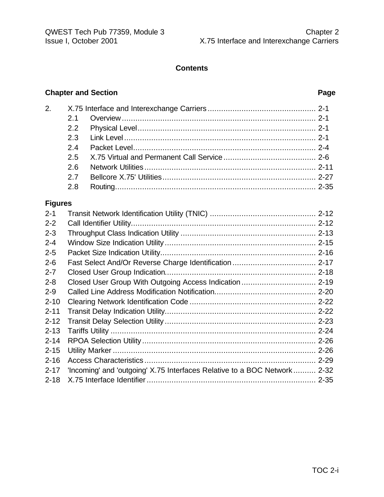#### **Contents**

#### **Chapter and Section Page**

| 2.             |     |  |  |  |  |  |  |  |  |
|----------------|-----|--|--|--|--|--|--|--|--|
|                | 2.1 |  |  |  |  |  |  |  |  |
|                | 2.2 |  |  |  |  |  |  |  |  |
|                | 2.3 |  |  |  |  |  |  |  |  |
|                | 2.4 |  |  |  |  |  |  |  |  |
|                | 2.5 |  |  |  |  |  |  |  |  |
|                | 2.6 |  |  |  |  |  |  |  |  |
|                | 2.7 |  |  |  |  |  |  |  |  |
|                | 2.8 |  |  |  |  |  |  |  |  |
| <b>Figures</b> |     |  |  |  |  |  |  |  |  |
| $2 - 1$        |     |  |  |  |  |  |  |  |  |
| $2 - 2$        |     |  |  |  |  |  |  |  |  |
| $2 - 3$        |     |  |  |  |  |  |  |  |  |
| $2 - 4$        |     |  |  |  |  |  |  |  |  |
| $2 - 5$        |     |  |  |  |  |  |  |  |  |
| $2 - 6$        |     |  |  |  |  |  |  |  |  |
| $2 - 7$        |     |  |  |  |  |  |  |  |  |
| $2 - 8$        |     |  |  |  |  |  |  |  |  |
| $2 - 9$        |     |  |  |  |  |  |  |  |  |
| $2 - 10$       |     |  |  |  |  |  |  |  |  |
| $2 - 11$       |     |  |  |  |  |  |  |  |  |

2-12 Transit Delay Selection Utility ................................................................... 2-23 2-13 Tariffs Utility ........................................................................................... 2-24 2-14 RPOA Selection Utility ............................................................................. 2-26 2-15 Utility Marker .......................................................................................... 2-26 2-16 Access Characteristics ............................................................................ 2-29 2-17 'Incoming' and 'outgoing' X.75 Interfaces Relative to a BOC Network .......... 2-32 2-18 X.75 Interface Identifier........................................................................... 2-35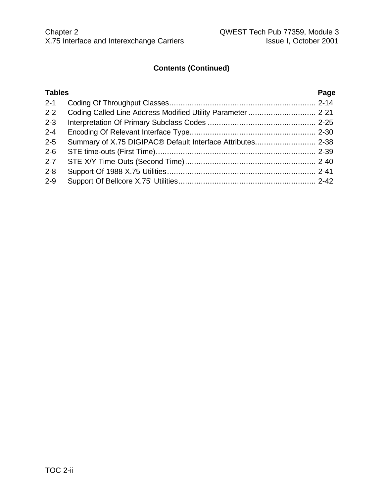#### **Contents (Continued)**

#### **Tables Page** 2-1 Coding Of Throughput Classes................................................................. 2-14 2-2 Coding Called Line Address Modified Utility Parameter .............................. 2-21 2-3 Interpretation Of Primary Subclass Codes ................................................ 2-25 2-4 Encoding Of Relevant Interface Type........................................................ 2-30 2-5 Summary of X.75 DIGIPAC® Default Interface Attributes........................... 2-38 2-6 STE time-outs (First Time)....................................................................... 2-39 2-7 STE X/Y Time-Outs (Second Time).......................................................... 2-40 2-8 Support Of 1988 X.75 Utilities.................................................................. 2-41 2-9 Support Of Bellcore X.75' Utilities............................................................. 2-42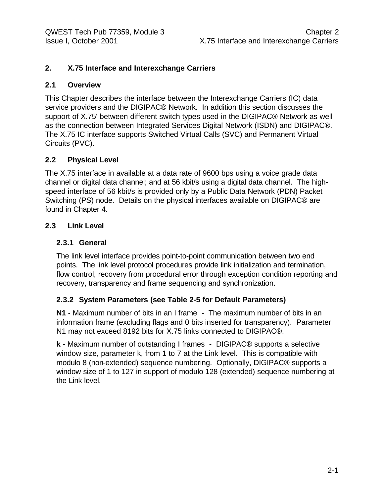#### **2. X.75 Interface and Interexchange Carriers**

#### **2.1 Overview**

This Chapter describes the interface between the Interexchange Carriers (IC) data service providers and the DIGIPAC® Network. In addition this section discusses the support of X.75' between different switch types used in the DIGIPAC® Network as well as the connection between Integrated Services Digital Network (ISDN) and DIGIPAC®. The X.75 IC interface supports Switched Virtual Calls (SVC) and Permanent Virtual Circuits (PVC).

#### **2.2 Physical Level**

The X.75 interface in available at a data rate of 9600 bps using a voice grade data channel or digital data channel; and at 56 kbit/s using a digital data channel. The highspeed interface of 56 kbit/s is provided only by a Public Data Network (PDN) Packet Switching (PS) node. Details on the physical interfaces available on DIGIPAC® are found in Chapter 4.

#### **2.3 Link Level**

#### **2.3.1 General**

The link level interface provides point-to-point communication between two end points. The link level protocol procedures provide link initialization and termination, flow control, recovery from procedural error through exception condition reporting and recovery, transparency and frame sequencing and synchronization.

#### **2.3.2 System Parameters (see Table 2-5 for Default Parameters)**

**N1** - Maximum number of bits in an I frame - The maximum number of bits in an information frame (excluding flags and 0 bits inserted for transparency). Parameter N1 may not exceed 8192 bits for X.75 links connected to DIGIPAC®.

**k** - Maximum number of outstanding I frames - DIGIPAC® supports a selective window size, parameter k, from 1 to 7 at the Link level. This is compatible with modulo 8 (non-extended) sequence numbering. Optionally, DIGIPAC® supports a window size of 1 to 127 in support of modulo 128 (extended) sequence numbering at the Link level.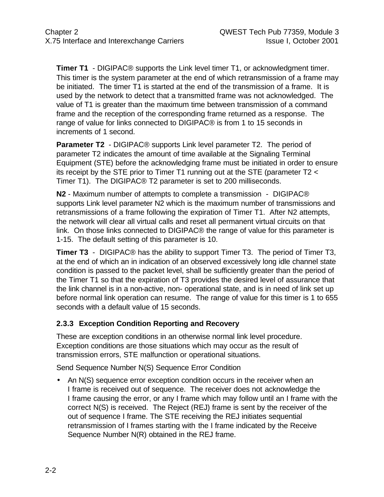**Timer T1** - DIGIPAC<sup>®</sup> supports the Link level timer T1, or acknowledgment timer. This timer is the system parameter at the end of which retransmission of a frame may be initiated. The timer T1 is started at the end of the transmission of a frame. It is used by the network to detect that a transmitted frame was not acknowledged. The value of T1 is greater than the maximum time between transmission of a command frame and the reception of the corresponding frame returned as a response. The range of value for links connected to DIGIPAC® is from 1 to 15 seconds in increments of 1 second.

**Parameter T2** - DIGIPAC® supports Link level parameter T2. The period of parameter T2 indicates the amount of time available at the Signaling Terminal Equipment (STE) before the acknowledging frame must be initiated in order to ensure its receipt by the STE prior to Timer T1 running out at the STE (parameter T2 < Timer T1). The DIGIPAC® T2 parameter is set to 200 milliseconds.

**N2** - Maximum number of attempts to complete a transmission - DIGIPAC® supports Link level parameter N2 which is the maximum number of transmissions and retransmissions of a frame following the expiration of Timer T1. After N2 attempts, the network will clear all virtual calls and reset all permanent virtual circuits on that link. On those links connected to DIGIPAC® the range of value for this parameter is 1-15. The default setting of this parameter is 10.

**Timer T3** - DIGIPAC® has the ability to support Timer T3. The period of Timer T3, at the end of which an in indication of an observed excessively long idle channel state condition is passed to the packet level, shall be sufficiently greater than the period of the Timer T1 so that the expiration of T3 provides the desired level of assurance that the link channel is in a non-active, non- operational state, and is in need of link set up before normal link operation can resume. The range of value for this timer is 1 to 655 seconds with a default value of 15 seconds.

#### **2.3.3 Exception Condition Reporting and Recovery**

These are exception conditions in an otherwise normal link level procedure. Exception conditions are those situations which may occur as the result of transmission errors, STE malfunction or operational situations.

Send Sequence Number N(S) Sequence Error Condition

• An N(S) sequence error exception condition occurs in the receiver when an I frame is received out of sequence. The receiver does not acknowledge the I frame causing the error, or any I frame which may follow until an I frame with the correct N(S) is received. The Reject (REJ) frame is sent by the receiver of the out of sequence I frame. The STE receiving the REJ initiates sequential retransmission of I frames starting with the I frame indicated by the Receive Sequence Number N(R) obtained in the REJ frame.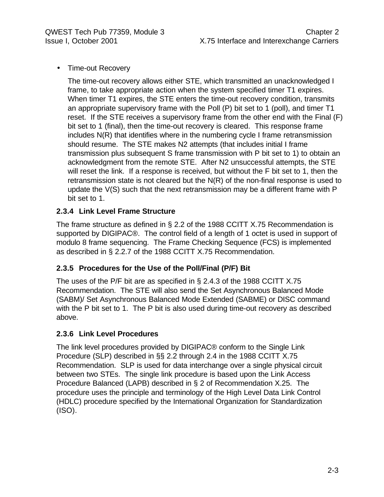• Time-out Recovery

The time-out recovery allows either STE, which transmitted an unacknowledged I frame, to take appropriate action when the system specified timer T1 expires. When timer T1 expires, the STE enters the time-out recovery condition, transmits an appropriate supervisory frame with the Poll (P) bit set to 1 (poll), and timer T1 reset. If the STE receives a supervisory frame from the other end with the Final (F) bit set to 1 (final), then the time-out recovery is cleared. This response frame includes N(R) that identifies where in the numbering cycle I frame retransmission should resume. The STE makes N2 attempts (that includes initial I frame transmission plus subsequent S frame transmission with P bit set to 1) to obtain an acknowledgment from the remote STE. After N2 unsuccessful attempts, the STE will reset the link. If a response is received, but without the F bit set to 1, then the retransmission state is not cleared but the N(R) of the non-final response is used to update the V(S) such that the next retransmission may be a different frame with P bit set to 1.

#### **2.3.4 Link Level Frame Structure**

The frame structure as defined in § 2.2 of the 1988 CCITT X.75 Recommendation is supported by DIGIPAC®. The control field of a length of 1 octet is used in support of modulo 8 frame sequencing. The Frame Checking Sequence (FCS) is implemented as described in § 2.2.7 of the 1988 CCITT X.75 Recommendation.

#### **2.3.5 Procedures for the Use of the Poll/Final (P/F) Bit**

The uses of the P/F bit are as specified in § 2.4.3 of the 1988 CCITT X.75 Recommendation. The STE will also send the Set Asynchronous Balanced Mode (SABM)/ Set Asynchronous Balanced Mode Extended (SABME) or DISC command with the P bit set to 1. The P bit is also used during time-out recovery as described above.

#### **2.3.6 Link Level Procedures**

The link level procedures provided by DIGIPAC® conform to the Single Link Procedure (SLP) described in §§ 2.2 through 2.4 in the 1988 CCITT X.75 Recommendation. SLP is used for data interchange over a single physical circuit between two STEs. The single link procedure is based upon the Link Access Procedure Balanced (LAPB) described in § 2 of Recommendation X.25. The procedure uses the principle and terminology of the High Level Data Link Control (HDLC) procedure specified by the International Organization for Standardization (ISO).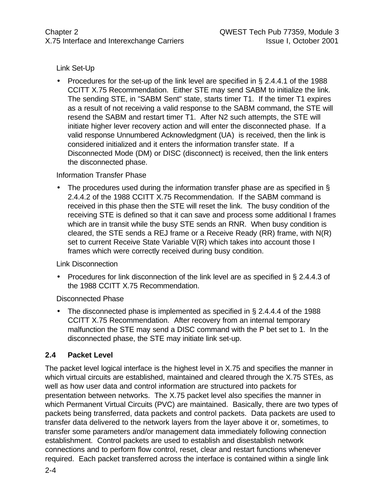#### Link Set-Up

• Procedures for the set-up of the link level are specified in  $\S 2.4.4.1$  of the 1988 CCITT X.75 Recommendation. Either STE may send SABM to initialize the link. The sending STE, in "SABM Sent" state, starts timer T1. If the timer T1 expires as a result of not receiving a valid response to the SABM command, the STE will resend the SABM and restart timer T1. After N2 such attempts, the STE will initiate higher lever recovery action and will enter the disconnected phase. If a valid response Unnumbered Acknowledgment (UA) is received, then the link is considered initialized and it enters the information transfer state. If a Disconnected Mode (DM) or DISC (disconnect) is received, then the link enters the disconnected phase.

#### Information Transfer Phase

• The procedures used during the information transfer phase are as specified in § 2.4.4.2 of the 1988 CCITT X.75 Recommendation. If the SABM command is received in this phase then the STE will reset the link. The busy condition of the receiving STE is defined so that it can save and process some additional I frames which are in transit while the busy STE sends an RNR. When busy condition is cleared, the STE sends a REJ frame or a Receive Ready (RR) frame, with N(R) set to current Receive State Variable V(R) which takes into account those I frames which were correctly received during busy condition.

#### Link Disconnection

• Procedures for link disconnection of the link level are as specified in § 2.4.4.3 of the 1988 CCITT X.75 Recommendation.

#### Disconnected Phase

• The disconnected phase is implemented as specified in § 2.4.4.4 of the 1988 CCITT X.75 Recommendation. After recovery from an internal temporary malfunction the STE may send a DISC command with the P bet set to 1. In the disconnected phase, the STE may initiate link set-up.

#### **2.4 Packet Level**

The packet level logical interface is the highest level in X.75 and specifies the manner in which virtual circuits are established, maintained and cleared through the X.75 STEs, as well as how user data and control information are structured into packets for presentation between networks. The X.75 packet level also specifies the manner in which Permanent Virtual Circuits (PVC) are maintained. Basically, there are two types of packets being transferred, data packets and control packets. Data packets are used to transfer data delivered to the network layers from the layer above it or, sometimes, to transfer some parameters and/or management data immediately following connection establishment. Control packets are used to establish and disestablish network connections and to perform flow control, reset, clear and restart functions whenever required. Each packet transferred across the interface is contained within a single link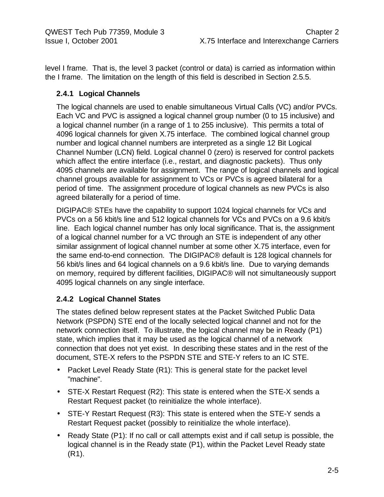level I frame. That is, the level 3 packet (control or data) is carried as information within the I frame. The limitation on the length of this field is described in Section 2.5.5.

#### **2.4.1 Logical Channels**

The logical channels are used to enable simultaneous Virtual Calls (VC) and/or PVCs. Each VC and PVC is assigned a logical channel group number (0 to 15 inclusive) and a logical channel number (in a range of 1 to 255 inclusive). This permits a total of 4096 logical channels for given X.75 interface. The combined logical channel group number and logical channel numbers are interpreted as a single 12 Bit Logical Channel Number (LCN) field. Logical channel 0 (zero) is reserved for control packets which affect the entire interface (i.e., restart, and diagnostic packets). Thus only 4095 channels are available for assignment. The range of logical channels and logical channel groups available for assignment to VCs or PVCs is agreed bilateral for a period of time. The assignment procedure of logical channels as new PVCs is also agreed bilaterally for a period of time.

DIGIPAC® STEs have the capability to support 1024 logical channels for VCs and PVCs on a 56 kbit/s line and 512 logical channels for VCs and PVCs on a 9.6 kbit/s line. Each logical channel number has only local significance. That is, the assignment of a logical channel number for a VC through an STE is independent of any other similar assignment of logical channel number at some other X.75 interface, even for the same end-to-end connection. The DIGIPAC® default is 128 logical channels for 56 kbit/s lines and 64 logical channels on a 9.6 kbit/s line. Due to varying demands on memory, required by different facilities, DIGIPAC® will not simultaneously support 4095 logical channels on any single interface.

#### **2.4.2 Logical Channel States**

The states defined below represent states at the Packet Switched Public Data Network (PSPDN) STE end of the locally selected logical channel and not for the network connection itself. To illustrate, the logical channel may be in Ready (P1) state, which implies that it may be used as the logical channel of a network connection that does not yet exist. In describing these states and in the rest of the document, STE-X refers to the PSPDN STE and STE-Y refers to an IC STE.

- Packet Level Ready State (R1): This is general state for the packet level "machine".
- STE-X Restart Request (R2): This state is entered when the STE-X sends a Restart Request packet (to reinitialize the whole interface).
- STE-Y Restart Request (R3): This state is entered when the STE-Y sends a Restart Request packet (possibly to reinitialize the whole interface).
- Ready State (P1): If no call or call attempts exist and if call setup is possible, the logical channel is in the Ready state (P1), within the Packet Level Ready state (R1).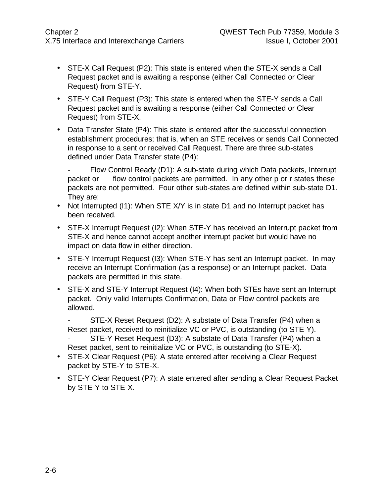- STE-X Call Request (P2): This state is entered when the STE-X sends a Call Request packet and is awaiting a response (either Call Connected or Clear Request) from STE-Y.
- STE-Y Call Request (P3): This state is entered when the STE-Y sends a Call Request packet and is awaiting a response (either Call Connected or Clear Request) from STE-X.
- Data Transfer State (P4): This state is entered after the successful connection establishment procedures; that is, when an STE receives or sends Call Connected in response to a sent or received Call Request. There are three sub-states defined under Data Transfer state (P4):

Flow Control Ready (D1): A sub-state during which Data packets, Interrupt packet or flow control packets are permitted. In any other p or r states these packets are not permitted. Four other sub-states are defined within sub-state D1. They are:

- Not Interrupted (I1): When STE X/Y is in state D1 and no Interrupt packet has been received.
- STE-X Interrupt Request (I2): When STE-Y has received an Interrupt packet from STE-X and hence cannot accept another interrupt packet but would have no impact on data flow in either direction.
- STE-Y Interrupt Request (I3): When STE-Y has sent an Interrupt packet. In may receive an Interrupt Confirmation (as a response) or an Interrupt packet. Data packets are permitted in this state.
- STE-X and STE-Y Interrupt Request (14): When both STEs have sent an Interrupt packet. Only valid Interrupts Confirmation, Data or Flow control packets are allowed.

STE-X Reset Request (D2): A substate of Data Transfer (P4) when a Reset packet, received to reinitialize VC or PVC, is outstanding (to STE-Y). STE-Y Reset Request (D3): A substate of Data Transfer (P4) when a Reset packet, sent to reinitialize VC or PVC, is outstanding (to STE-X).

- STE-X Clear Request (P6): A state entered after receiving a Clear Request packet by STE-Y to STE-X.
- STE-Y Clear Request (P7): A state entered after sending a Clear Request Packet by STE-Y to STE-X.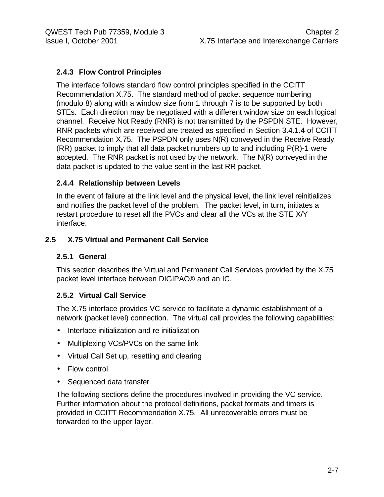#### **2.4.3 Flow Control Principles**

The interface follows standard flow control principles specified in the CCITT Recommendation X.75. The standard method of packet sequence numbering (modulo 8) along with a window size from 1 through 7 is to be supported by both STEs. Each direction may be negotiated with a different window size on each logical channel. Receive Not Ready (RNR) is not transmitted by the PSPDN STE. However, RNR packets which are received are treated as specified in Section 3.4.1.4 of CCITT Recommendation X.75. The PSPDN only uses N(R) conveyed in the Receive Ready (RR) packet to imply that all data packet numbers up to and including P(R)-1 were accepted. The RNR packet is not used by the network. The N(R) conveyed in the data packet is updated to the value sent in the last RR packet.

#### **2.4.4 Relationship between Levels**

In the event of failure at the link level and the physical level, the link level reinitializes and notifies the packet level of the problem. The packet level, in turn, initiates a restart procedure to reset all the PVCs and clear all the VCs at the STE X/Y interface.

#### **2.5 X.75 Virtual and Permanent Call Service**

#### **2.5.1 General**

This section describes the Virtual and Permanent Call Services provided by the X.75 packet level interface between DIGIPAC® and an IC.

#### **2.5.2 Virtual Call Service**

The X.75 interface provides VC service to facilitate a dynamic establishment of a network (packet level) connection. The virtual call provides the following capabilities:

- Interface initialization and re initialization
- Multiplexing VCs/PVCs on the same link
- Virtual Call Set up, resetting and clearing
- Flow control
- Sequenced data transfer

The following sections define the procedures involved in providing the VC service. Further information about the protocol definitions, packet formats and timers is provided in CCITT Recommendation X.75. All unrecoverable errors must be forwarded to the upper layer.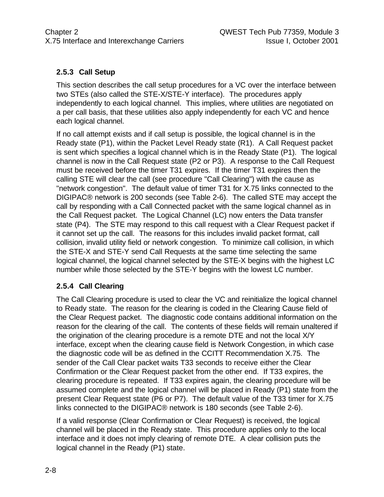#### **2.5.3 Call Setup**

This section describes the call setup procedures for a VC over the interface between two STEs (also called the STE-X/STE-Y interface). The procedures apply independently to each logical channel. This implies, where utilities are negotiated on a per call basis, that these utilities also apply independently for each VC and hence each logical channel.

If no call attempt exists and if call setup is possible, the logical channel is in the Ready state (P1), within the Packet Level Ready state (R1). A Call Request packet is sent which specifies a logical channel which is in the Ready State (P1). The logical channel is now in the Call Request state (P2 or P3). A response to the Call Request must be received before the timer T31 expires. If the timer T31 expires then the calling STE will clear the call (see procedure "Call Clearing") with the cause as "network congestion". The default value of timer T31 for X.75 links connected to the DIGIPAC® network is 200 seconds (see Table 2-6). The called STE may accept the call by responding with a Call Connected packet with the same logical channel as in the Call Request packet. The Logical Channel (LC) now enters the Data transfer state (P4). The STE may respond to this call request with a Clear Request packet if it cannot set up the call. The reasons for this includes invalid packet format, call collision, invalid utility field or network congestion. To minimize call collision, in which the STE-X and STE-Y send Call Requests at the same time selecting the same logical channel, the logical channel selected by the STE-X begins with the highest LC number while those selected by the STE-Y begins with the lowest LC number.

#### **2.5.4 Call Clearing**

The Call Clearing procedure is used to clear the VC and reinitialize the logical channel to Ready state. The reason for the clearing is coded in the Clearing Cause field of the Clear Request packet. The diagnostic code contains additional information on the reason for the clearing of the call. The contents of these fields will remain unaltered if the origination of the clearing procedure is a remote DTE and not the local X/Y interface, except when the clearing cause field is Network Congestion, in which case the diagnostic code will be as defined in the CCITT Recommendation X.75. The sender of the Call Clear packet waits T33 seconds to receive either the Clear Confirmation or the Clear Request packet from the other end. If T33 expires, the clearing procedure is repeated. If T33 expires again, the clearing procedure will be assumed complete and the logical channel will be placed in Ready (P1) state from the present Clear Request state (P6 or P7). The default value of the T33 timer for X.75 links connected to the DIGIPAC® network is 180 seconds (see Table 2-6).

If a valid response (Clear Confirmation or Clear Request) is received, the logical channel will be placed in the Ready state. This procedure applies only to the local interface and it does not imply clearing of remote DTE. A clear collision puts the logical channel in the Ready (P1) state.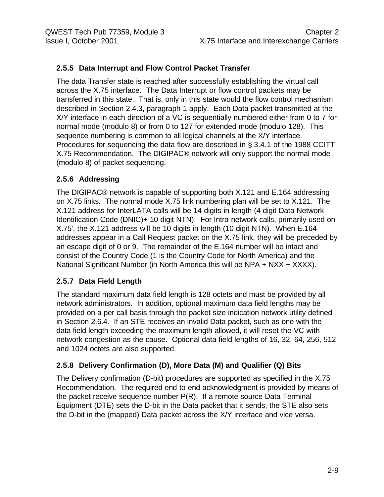#### **2.5.5 Data Interrupt and Flow Control Packet Transfer**

The data Transfer state is reached after successfully establishing the virtual call across the X.75 interface. The Data Interrupt or flow control packets may be transferred in this state. That is, only in this state would the flow control mechanism described in Section 2.4.3, paragraph 1 apply. Each Data packet transmitted at the X/Y interface in each direction of a VC is sequentially numbered either from 0 to 7 for normal mode (modulo 8) or from 0 to 127 for extended mode (modulo 128). This sequence numbering is common to all logical channels at the X/Y interface. Procedures for sequencing the data flow are described in § 3.4.1 of the 1988 CCITT X.75 Recommendation. The DIGIPAC® network will only support the normal mode (modulo 8) of packet sequencing.

#### **2.5.6 Addressing**

The DIGIPAC® network is capable of supporting both X.121 and E.164 addressing on X.75 links. The normal mode X.75 link numbering plan will be set to X.121. The X.121 address for InterLATA calls will be 14 digits in length (4 digit Data Network Identification Code (DNIC)+ 10 digit NTN). For Intra-network calls, primarily used on X.75', the X.121 address will be 10 digits in length (10 digit NTN). When E.164 addresses appear in a Call Request packet on the X.75 link, they will be preceded by an escape digit of 0 or 9. The remainder of the E.164 number will be intact and consist of the Country Code (1 is the Country Code for North America) and the National Significant Number (in North America this will be NPA + NXX + XXXX).

#### **2.5.7 Data Field Length**

The standard maximum data field length is 128 octets and must be provided by all network administrators. In addition, optional maximum data field lengths may be provided on a per call basis through the packet size indication network utility defined in Section 2.6.4. If an STE receives an invalid Data packet, such as one with the data field length exceeding the maximum length allowed, it will reset the VC with network congestion as the cause. Optional data field lengths of 16, 32, 64, 256, 512 and 1024 octets are also supported.

#### **2.5.8 Delivery Confirmation (D), More Data (M) and Qualifier (Q) Bits**

The Delivery confirmation (D-bit) procedures are supported as specified in the X.75 Recommendation. The required end-to-end acknowledgment is provided by means of the packet receive sequence number P(R). If a remote source Data Terminal Equipment (DTE) sets the D-bit in the Data packet that it sends, the STE also sets the D-bit in the (mapped) Data packet across the X/Y interface and vice versa.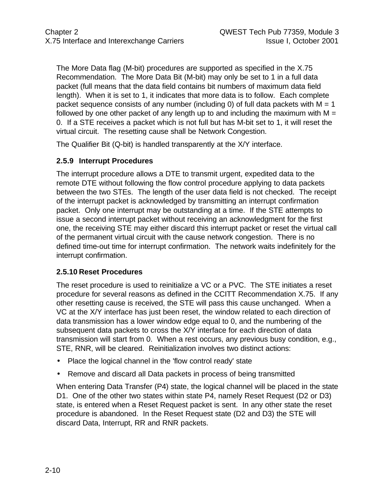The More Data flag (M-bit) procedures are supported as specified in the X.75 Recommendation. The More Data Bit (M-bit) may only be set to 1 in a full data packet (full means that the data field contains bit numbers of maximum data field length). When it is set to 1, it indicates that more data is to follow. Each complete packet sequence consists of any number (including 0) of full data packets with  $M = 1$ followed by one other packet of any length up to and including the maximum with  $M =$ 0. If a STE receives a packet which is not full but has M-bit set to 1, it will reset the virtual circuit. The resetting cause shall be Network Congestion.

The Qualifier Bit (Q-bit) is handled transparently at the X/Y interface.

#### **2.5.9 Interrupt Procedures**

The interrupt procedure allows a DTE to transmit urgent, expedited data to the remote DTE without following the flow control procedure applying to data packets between the two STEs. The length of the user data field is not checked. The receipt of the interrupt packet is acknowledged by transmitting an interrupt confirmation packet. Only one interrupt may be outstanding at a time. If the STE attempts to issue a second interrupt packet without receiving an acknowledgment for the first one, the receiving STE may either discard this interrupt packet or reset the virtual call of the permanent virtual circuit with the cause network congestion. There is no defined time-out time for interrupt confirmation. The network waits indefinitely for the interrupt confirmation.

#### **2.5.10 Reset Procedures**

The reset procedure is used to reinitialize a VC or a PVC. The STE initiates a reset procedure for several reasons as defined in the CCITT Recommendation X.75. If any other resetting cause is received, the STE will pass this cause unchanged. When a VC at the X/Y interface has just been reset, the window related to each direction of data transmission has a lower window edge equal to 0, and the numbering of the subsequent data packets to cross the X/Y interface for each direction of data transmission will start from 0. When a rest occurs, any previous busy condition, e.g., STE, RNR, will be cleared. Reinitialization involves two distinct actions:

- Place the logical channel in the 'flow control ready' state
- Remove and discard all Data packets in process of being transmitted

When entering Data Transfer (P4) state, the logical channel will be placed in the state D1. One of the other two states within state P4, namely Reset Request (D2 or D3) state, is entered when a Reset Request packet is sent. In any other state the reset procedure is abandoned. In the Reset Request state (D2 and D3) the STE will discard Data, Interrupt, RR and RNR packets.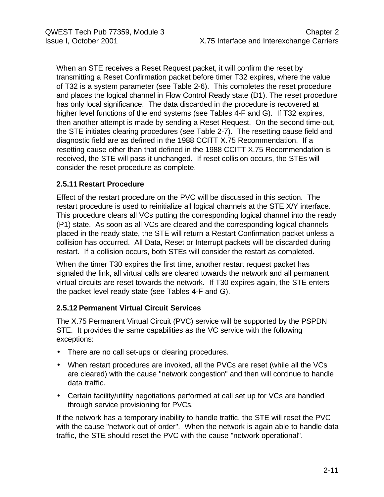When an STE receives a Reset Request packet, it will confirm the reset by transmitting a Reset Confirmation packet before timer T32 expires, where the value of T32 is a system parameter (see Table 2-6). This completes the reset procedure and places the logical channel in Flow Control Ready state (D1). The reset procedure has only local significance. The data discarded in the procedure is recovered at higher level functions of the end systems (see Tables 4-F and G). If T32 expires, then another attempt is made by sending a Reset Request. On the second time-out, the STE initiates clearing procedures (see Table 2-7). The resetting cause field and diagnostic field are as defined in the 1988 CCITT X.75 Recommendation. If a resetting cause other than that defined in the 1988 CCITT X.75 Recommendation is received, the STE will pass it unchanged. If reset collision occurs, the STEs will consider the reset procedure as complete.

#### **2.5.11 Restart Procedure**

Effect of the restart procedure on the PVC will be discussed in this section. The restart procedure is used to reinitialize all logical channels at the STE X/Y interface. This procedure clears all VCs putting the corresponding logical channel into the ready (P1) state. As soon as all VCs are cleared and the corresponding logical channels placed in the ready state, the STE will return a Restart Confirmation packet unless a collision has occurred. All Data, Reset or Interrupt packets will be discarded during restart. If a collision occurs, both STEs will consider the restart as completed.

When the timer T30 expires the first time, another restart request packet has signaled the link, all virtual calls are cleared towards the network and all permanent virtual circuits are reset towards the network. If T30 expires again, the STE enters the packet level ready state (see Tables 4-F and G).

#### **2.5.12 Permanent Virtual Circuit Services**

The X.75 Permanent Virtual Circuit (PVC) service will be supported by the PSPDN STE. It provides the same capabilities as the VC service with the following exceptions:

- There are no call set-ups or clearing procedures.
- When restart procedures are invoked, all the PVCs are reset (while all the VCs are cleared) with the cause "network congestion" and then will continue to handle data traffic.
- Certain facility/utility negotiations performed at call set up for VCs are handled through service provisioning for PVCs.

If the network has a temporary inability to handle traffic, the STE will reset the PVC with the cause "network out of order". When the network is again able to handle data traffic, the STE should reset the PVC with the cause "network operational".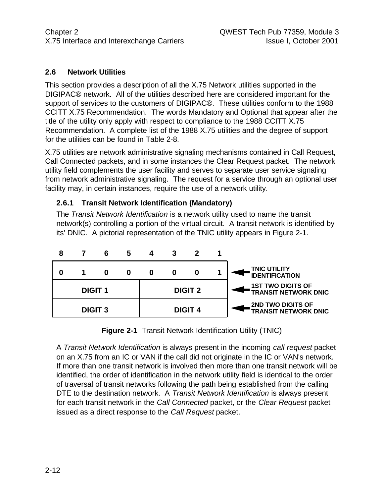#### **2.6 Network Utilities**

This section provides a description of all the X.75 Network utilities supported in the DIGIPAC® network. All of the utilities described here are considered important for the support of services to the customers of DIGIPAC®. These utilities conform to the 1988 CCITT X.75 Recommendation. The words Mandatory and Optional that appear after the title of the utility only apply with respect to compliance to the 1988 CCITT X.75 Recommendation. A complete list of the 1988 X.75 utilities and the degree of support for the utilities can be found in Table 2-8.

X.75 utilities are network administrative signaling mechanisms contained in Call Request, Call Connected packets, and in some instances the Clear Request packet. The network utility field complements the user facility and serves to separate user service signaling from network administrative signaling. The request for a service through an optional user facility may, in certain instances, require the use of a network utility.

#### **2.6.1 Transit Network Identification (Mandatory)**

The *Transit Network Identification* is a network utility used to name the transit network(s) controlling a portion of the virtual circuit. A transit network is identified by its' DNIC. A pictorial representation of the TNIC utility appears in Figure 2-1.



**Figure 2-1** Transit Network Identification Utility (TNIC)

A *Transit Network Identification* is always present in the incoming *call request* packet on an X.75 from an IC or VAN if the call did not originate in the IC or VAN's network. If more than one transit network is involved then more than one transit network will be identified, the order of identification in the network utility field is identical to the order of traversal of transit networks following the path being established from the calling DTE to the destination network. A *Transit Network Identification* is always present for each transit network in the *Call Connected* packet, or the *Clear Request* packet issued as a direct response to the *Call Request* packet.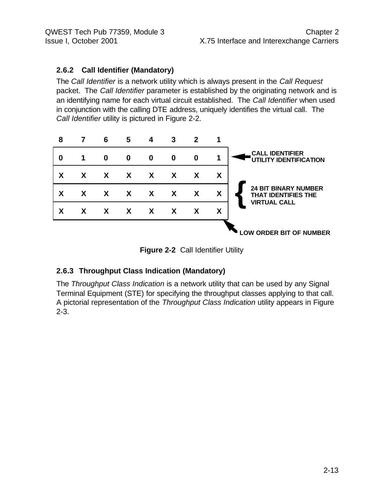#### **2.6.2 Call Identifier (Mandatory)**

The *Call Identifier* is a network utility which is always present in the *Call Request* packet. The *Call Identifier* parameter is established by the originating network and is an identifying name for each virtual circuit established. The *Call Identifier* when used in conjunction with the calling DTE address, uniquely identifies the virtual call. The *Call Identifier* utility is pictured in Figure 2-2.



**Figure 2-2** Call Identifier Utility

#### **2.6.3 Throughput Class Indication (Mandatory)**

The *Throughput Class Indication* is a network utility that can be used by any Signal Terminal Equipment (STE) for specifying the throughput classes applying to that call. A pictorial representation of the *Throughput Class Indication* utility appears in Figure 2-3.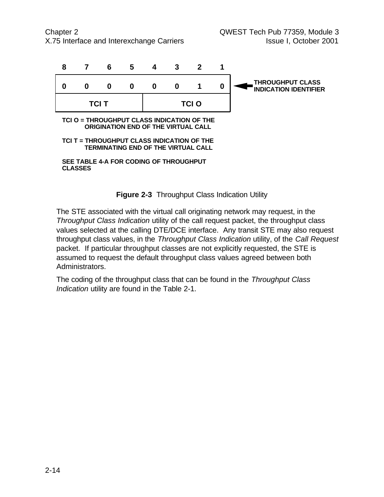Chapter 2 QWEST Tech Pub 77359, Module 3 X.75 Interface and Interexchange Carriers **Interpretent Intervalse I**ssue I, October 2001



**SEE TABLE 4-A FOR CODING OF THROUGHPUT CLASSES**



The STE associated with the virtual call originating network may request, in the *Throughput Class Indication* utility of the call request packet, the throughput class values selected at the calling DTE/DCE interface. Any transit STE may also request throughput class values, in the *Throughput Class Indication* utility, of the *Call Request* packet. If particular throughput classes are not explicitly requested, the STE is assumed to request the default throughput class values agreed between both Administrators.

The coding of the throughput class that can be found in the *Throughput Class Indication* utility are found in the Table 2-1.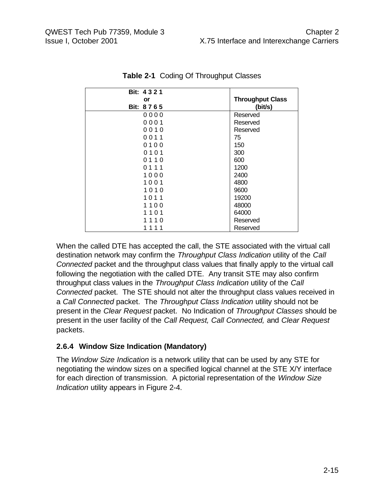| Bit: 4321            |                         |
|----------------------|-------------------------|
| or                   | <b>Throughput Class</b> |
| Bit: 8765            | (bit/s)                 |
| 0000                 | Reserved                |
| 0001                 | Reserved                |
| 0010                 | Reserved                |
| 0011                 | 75                      |
| 0100                 | 150                     |
| 0101                 | 300                     |
| 0110                 | 600                     |
| 0111                 | 1200                    |
| 1000                 | 2400                    |
| 1001                 | 4800                    |
| 1010                 | 9600                    |
| 1011                 | 19200                   |
| 1100                 | 48000                   |
| 1101                 | 64000                   |
| 1110                 | Reserved                |
| 11<br>$\overline{1}$ | Reserved                |

**Table 2-1** Coding Of Throughput Classes

When the called DTE has accepted the call, the STE associated with the virtual call destination network may confirm the *Throughput Class Indication* utility of the *Call Connected* packet and the throughput class values that finally apply to the virtual call following the negotiation with the called DTE. Any transit STE may also confirm throughput class values in the *Throughput Class Indication* utility of the *Call Connected* packet. The STE should not alter the throughput class values received in a *Call Connected* packet. The *Throughput Class Indication* utility should not be present in the *Clear Request* packet. No Indication of *Throughput Classes* should be present in the user facility of the *Call Request, Call Connected,* and *Clear Request* packets.

#### **2.6.4 Window Size Indication (Mandatory)**

The *Window Size Indication* is a network utility that can be used by any STE for negotiating the window sizes on a specified logical channel at the STE X/Y interface for each direction of transmission. A pictorial representation of the *Window Size Indication* utility appears in Figure 2-4.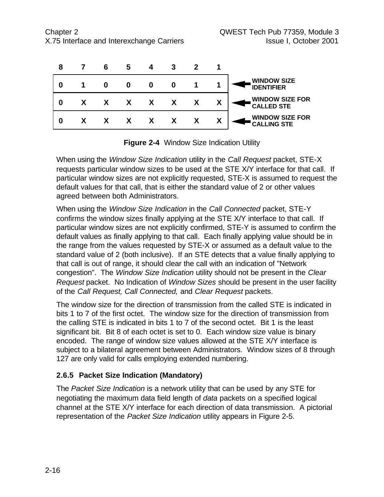| 8 | 6 | 5 |              |              |   |                                              |
|---|---|---|--------------|--------------|---|----------------------------------------------|
|   |   |   | 0            |              |   | <b>WINDOW SIZE</b><br><b>IDENTIFIER</b>      |
|   |   |   | $\mathsf{X}$ | $\mathsf{X}$ | Χ | <b>WINDOW SIZE FOR</b><br><b>CALLED STE</b>  |
|   |   |   |              |              | χ | <b>WINDOW SIZE FOR</b><br><b>CALLING STE</b> |



When using the *Window Size Indication* utility in the *Call Request* packet, STE-X requests particular window sizes to be used at the STE X/Y interface for that call. If particular window sizes are not explicitly requested, STE-X is assumed to request the default values for that call, that is either the standard value of 2 or other values agreed between both Administrators.

When using the *Window Size Indication* in the *Call Connected* packet, STE-Y confirms the window sizes finally applying at the STE X/Y interface to that call. If particular window sizes are not explicitly confirmed, STE-Y is assumed to confirm the default values as finally applying to that call. Each finally applying value should be in the range from the values requested by STE-X or assumed as a default value to the standard value of 2 (both inclusive). If an STE detects that a value finally applying to that call is out of range, it should clear the call with an indication of "Network congestion". The *Window Size Indication* utility should not be present in the *Clear Request* packet. No Indication of *Window Sizes* should be present in the user facility of the *Call Request, Call Connected,* and *Clear Request* packets.

The window size for the direction of transmission from the called STE is indicated in bits 1 to 7 of the first octet. The window size for the direction of transmission from the calling STE is indicated in bits 1 to 7 of the second octet. Bit 1 is the least significant bit. Bit 8 of each octet is set to 0. Each window size value is binary encoded. The range of window size values allowed at the STE X/Y interface is subject to a bilateral agreement between Administrators. Window sizes of 8 through 127 are only valid for calls employing extended numbering.

#### **2.6.5 Packet Size Indication (Mandatory)**

The *Packet Size Indication* is a network utility that can be used by any STE for negotiating the maximum data field length of *data* packets on a specified logical channel at the STE X/Y interface for each direction of data transmission. A pictorial representation of the *Packet Size Indication* utility appears in Figure 2-5.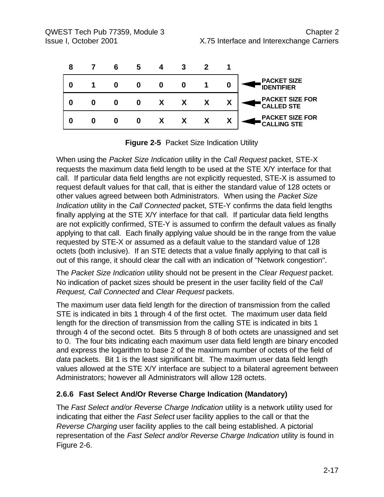| 8 |  |  |   |   |                                              |
|---|--|--|---|---|----------------------------------------------|
| 0 |  |  | O | 0 | <b>PACKET SIZE</b><br><b>IDENTIFIER</b>      |
|   |  |  | X | χ | <b>PACKET SIZE FOR</b><br><b>CALLED STE</b>  |
|   |  |  |   | Χ | <b>PACKET SIZE FOR</b><br><b>CALLING STE</b> |

**Figure 2-5** Packet Size Indication Utility

When using the *Packet Size Indication* utility in the *Call Request* packet, STE-X requests the maximum data field length to be used at the STE X/Y interface for that call. If particular data field lengths are not explicitly requested, STE-X is assumed to request default values for that call, that is either the standard value of 128 octets or other values agreed between both Administrators. When using the *Packet Size Indication* utility in the *Call Connected* packet, STE-Y confirms the data field lengths finally applying at the STE X/Y interface for that call. If particular data field lengths are not explicitly confirmed, STE-Y is assumed to confirm the default values as finally applying to that call. Each finally applying value should be in the range from the value requested by STE-X or assumed as a default value to the standard value of 128 octets (both inclusive). If an STE detects that a value finally applying to that call is out of this range, it should clear the call with an indication of "Network congestion".

The *Packet Size Indication* utility should not be present in the *Clear Request* packet. No indication of packet sizes should be present in the user facility field of the *Call Request, Call Connected* and *Clear Request* packets.

The maximum user data field length for the direction of transmission from the called STE is indicated in bits 1 through 4 of the first octet. The maximum user data field length for the direction of transmission from the calling STE is indicated in bits 1 through 4 of the second octet. Bits 5 through 8 of both octets are unassigned and set to 0. The four bits indicating each maximum user data field length are binary encoded and express the logarithm to base 2 of the maximum number of octets of the field of *data* packets. Bit 1 is the least significant bit. The maximum user data field length values allowed at the STE X/Y interface are subject to a bilateral agreement between Administrators; however all Administrators will allow 128 octets.

#### **2.6.6 Fast Select And/Or Reverse Charge Indication (Mandatory)**

The *Fast Select and/or Reverse Charge Indication* utility is a network utility used for indicating that either the *Fast Select* user facility applies to the call or that the *Reverse Charging* user facility applies to the call being established. A pictorial representation of the *Fast Select and/or Reverse Charge Indication* utility is found in Figure 2-6.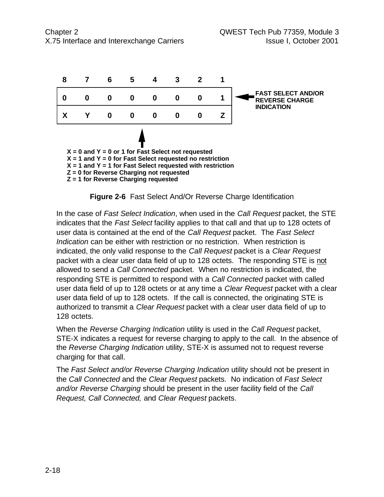



In the case of *Fast Select Indication*, when used in the *Call Request* packet, the STE indicates that the *Fast Select* facility applies to that call and that up to 128 octets of user data is contained at the end of the *Call Request* packet. The *Fast Select Indication* can be either with restriction or no restriction. When restriction is indicated, the only valid response to the *Call Request* packet is a *Clear Request* packet with a clear user data field of up to 128 octets. The responding STE is not allowed to send a *Call Connected* packet. When no restriction is indicated, the responding STE is permitted to respond with a *Call Connected* packet with called user data field of up to 128 octets or at any time a *Clear Request* packet with a clear user data field of up to 128 octets. If the call is connected, the originating STE is authorized to transmit a *Clear Request* packet with a clear user data field of up to 128 octets.

When the *Reverse Charging Indication* utility is used in the *Call Request* packet, STE-X indicates a request for reverse charging to apply to the call. In the absence of the *Reverse Charging Indication* utility, STE-X is assumed not to request reverse charging for that call.

The *Fast Select and/or Reverse Charging Indication* utility should not be present in the *Call Connected* and the *Clear Request* packets. No indication of *Fast Select and/or Reverse Charging* should be present in the user facility field of the *Call Request, Call Connected,* and *Clear Request* packets.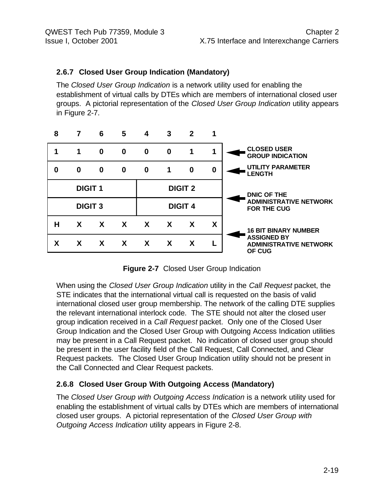#### **2.6.7 Closed User Group Indication (Mandatory)**

The *Closed User Group Indication* is a network utility used for enabling the establishment of virtual calls by DTEs which are members of international closed user groups. A pictorial representation of the *Closed User Group Indication* utility appears in Figure 2-7.

|   | 6 | 5                                | 4        | 3        | 2        |                                  |                                                               |
|---|---|----------------------------------|----------|----------|----------|----------------------------------|---------------------------------------------------------------|
| 1 | 0 | 0                                | $\bf{0}$ | $\bf{0}$ | 1        |                                  | <b>CLOSED USER</b><br><b>GROUP INDICATION</b>                 |
| 0 | 0 | $\bf{0}$                         | $\bf{0}$ | 1        | $\bf{0}$ | 0                                | <b>UTILITY PARAMETER</b><br><b>LENGTH</b>                     |
|   |   |                                  |          |          |          |                                  | DNIC OF THE                                                   |
|   |   |                                  |          |          |          |                                  | <b>ADMINISTRATIVE NETWORK</b><br><b>FOR THE CUG</b>           |
| X | X | X                                | X        | X        | X        | X                                | <b>16 BIT BINARY NUMBER</b>                                   |
| X | X | X                                | X        | X        | X        |                                  | <b>ASSIGNED BY</b><br><b>ADMINISTRATIVE NETWORK</b><br>OF CUG |
|   |   | <b>DIGIT 1</b><br><b>DIGIT 3</b> |          |          |          | <b>DIGIT 2</b><br><b>DIGIT 4</b> |                                                               |

**Figure 2-7** Closed User Group Indication

When using the *Closed User Group Indication* utility in the *Call Request* packet, the STE indicates that the international virtual call is requested on the basis of valid international closed user group membership. The network of the calling DTE supplies the relevant international interlock code. The STE should not alter the closed user group indication received in a *Call Request* packet. Only one of the Closed User Group Indication and the Closed User Group with Outgoing Access Indication utilities may be present in a Call Request packet. No indication of closed user group should be present in the user facility field of the Call Request, Call Connected, and Clear Request packets. The Closed User Group Indication utility should not be present in the Call Connected and Clear Request packets.

#### **2.6.8 Closed User Group With Outgoing Access (Mandatory)**

The *Closed User Group with Outgoing Access Indication* is a network utility used for enabling the establishment of virtual calls by DTEs which are members of international closed user groups. A pictorial representation of the *Closed User Group with Outgoing Access Indication* utility appears in Figure 2-8.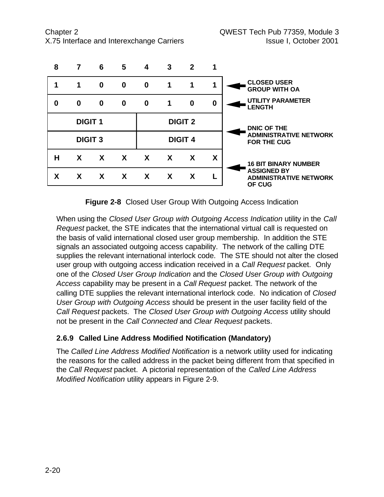

**Figure 2-8** Closed User Group With Outgoing Access Indication

When using the *Closed User Group with Outgoing Access Indication* utility in the *Call Request* packet, the STE indicates that the international virtual call is requested on the basis of valid international closed user group membership. In addition the STE signals an associated outgoing access capability. The network of the calling DTE supplies the relevant international interlock code. The STE should not alter the closed user group with outgoing access indication received in a *Call Request* packet. Only one of the *Closed User Group Indication* and the *Closed User Group with Outgoing Access* capability may be present in a *Call Request* packet. The network of the calling DTE supplies the relevant international interlock code. No indication of *Closed User Group with Outgoing Access* should be present in the user facility field of the *Call Request* packets. The *Closed User Group with Outgoing Access* utility should not be present in the *Call Connected* and *Clear Request* packets.

#### **2.6.9 Called Line Address Modified Notification (Mandatory)**

The *Called Line Address Modified Notification* is a network utility used for indicating the reasons for the called address in the packet being different from that specified in the *Call Request* packet. A pictorial representation of the *Called Line Address Modified Notification* utility appears in Figure 2-9.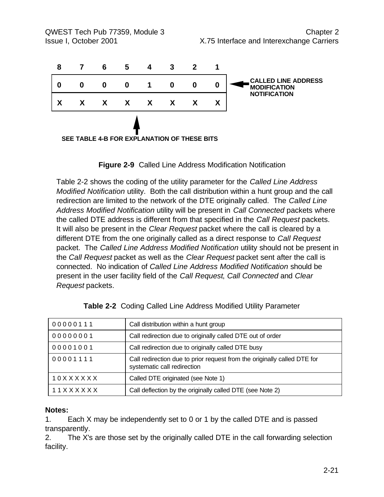| 8 |   | 6 | 5            | 4            | 3                                           | 2 |   |                                                   |
|---|---|---|--------------|--------------|---------------------------------------------|---|---|---------------------------------------------------|
| O | 0 | 0 | 0            |              | 0                                           | 0 | 0 | <b>CALLED LINE ADDRESS</b><br><b>MODIFICATION</b> |
|   | X | X | $\mathsf{X}$ | $\mathsf{X}$ | $\boldsymbol{X}$                            | X | χ | <b>NOTIFICATION</b>                               |
|   |   |   |              |              | SEE TABLE 4-B FOR EXPLANATION OF THESE BITS |   |   |                                                   |

**Figure 2-9** Called Line Address Modification Notification

Table 2-2 shows the coding of the utility parameter for the *Called Line Address Modified Notification* utility. Both the call distribution within a hunt group and the call redirection are limited to the network of the DTE originally called. The *Called Line Address Modified Notification* utility will be present in *Call Connected* packets where the called DTE address is different from that specified in the *Call Request* packets. It will also be present in the *Clear Request* packet where the call is cleared by a different DTE from the one originally called as a direct response to *Call Request* packet. The *Called Line Address Modified Notification* utility should not be present in the *Call Request* packet as well as the *Clear Request* packet sent after the call is connected. No indication of *Called Line Address Modified Notification* should be present in the user facility field of the *Call Request*, *Call Connected* and *Clear Request* packets.

| 00000111       | Call distribution within a hunt group                                                                   |
|----------------|---------------------------------------------------------------------------------------------------------|
| 00000001       | Call redirection due to originally called DTE out of order                                              |
| 00001001       | Call redirection due to originally called DTE busy                                                      |
| 00001111       | Call redirection due to prior request from the originally called DTE for<br>systematic call redirection |
| 10XXXXXX       | Called DTE originated (see Note 1)                                                                      |
| 11 X X X X X X | Call deflection by the originally called DTE (see Note 2)                                               |

|  | Table 2-2 Coding Called Line Address Modified Utility Parameter |  |  |  |  |  |
|--|-----------------------------------------------------------------|--|--|--|--|--|
|--|-----------------------------------------------------------------|--|--|--|--|--|

#### **Notes:**

1. Each X may be independently set to 0 or 1 by the called DTE and is passed transparently.

2. The X's are those set by the originally called DTE in the call forwarding selection facility.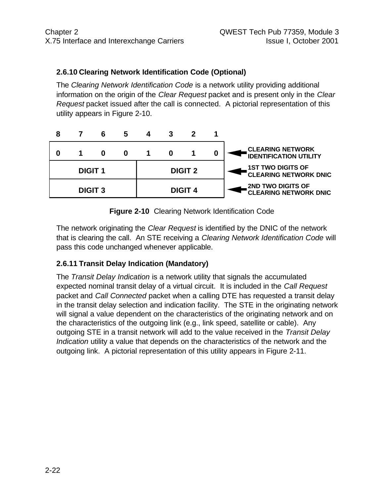#### **2.6.10 Clearing Network Identification Code (Optional)**

The *Clearing Network Identification Code* is a network utility providing additional information on the origin of the *Clear Request* packet and is present only in the *Clear Request* packet issued after the call is connected. A pictorial representation of this utility appears in Figure 2-10.



**Figure 2-10** Clearing Network Identification Code

The network originating the *Clear Request* is identified by the DNIC of the network that is clearing the call. An STE receiving a *Clearing Network Identification Code* will pass this code unchanged whenever applicable.

#### **2.6.11 Transit Delay Indication (Mandatory)**

The *Transit Delay Indication* is a network utility that signals the accumulated expected nominal transit delay of a virtual circuit. It is included in the *Call Request* packet and *Call Connected* packet when a calling DTE has requested a transit delay in the transit delay selection and indication facility. The STE in the originating network will signal a value dependent on the characteristics of the originating network and on the characteristics of the outgoing link (e.g., link speed, satellite or cable). Any outgoing STE in a transit network will add to the value received in the *Transit Delay Indication* utility a value that depends on the characteristics of the network and the outgoing link. A pictorial representation of this utility appears in Figure 2-11.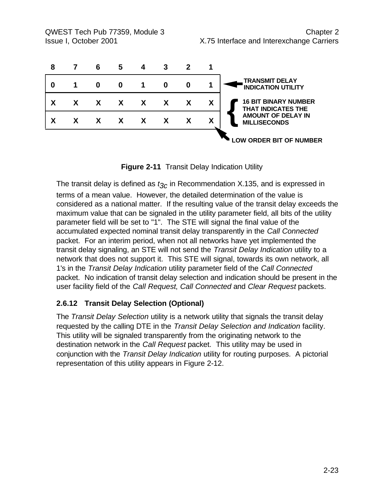

**Figure 2-11** Transit Delay Indication Utility

The transit delay is defined as *t3c* in Recommendation X.135, and is expressed in terms of a mean value. However, the detailed determination of the value is considered as a national matter. If the resulting value of the transit delay exceeds the maximum value that can be signaled in the utility parameter field, all bits of the utility parameter field will be set to "1". The STE will signal the final value of the accumulated expected nominal transit delay transparently in the *Call Connected* packet. For an interim period, when not all networks have yet implemented the transit delay signaling, an STE will not send the *Transit Delay Indication* utility to a network that does not support it. This STE will signal, towards its own network, all 1's in the *Transit Delay Indication* utility parameter field of the *Call Connected* packet. No indication of transit delay selection and indication should be present in the user facility field of the *Call Request*, *Call Connected* and *Clear Request* packets.

#### **2.6.12 Transit Delay Selection (Optional)**

The *Transit Delay Selection* utility is a network utility that signals the transit delay requested by the calling DTE in the *Transit Delay Selection and Indication* facility. This utility will be signaled transparently from the originating network to the destination network in the *Call Request* packet. This utility may be used in conjunction with the *Transit Delay Indication* utility for routing purposes. A pictorial representation of this utility appears in Figure 2-12.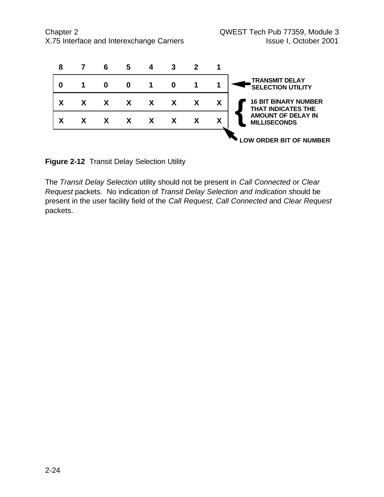

**Figure 2-12** Transit Delay Selection Utility

The *Transit Delay Selection* utility should not be present in *Call Connected* or *Clear Request* packets. No indication of *Transit Delay Selection and Indication* should be present in the user facility field of the *Call Request*, *Call Connected* and *Clear Request* packets.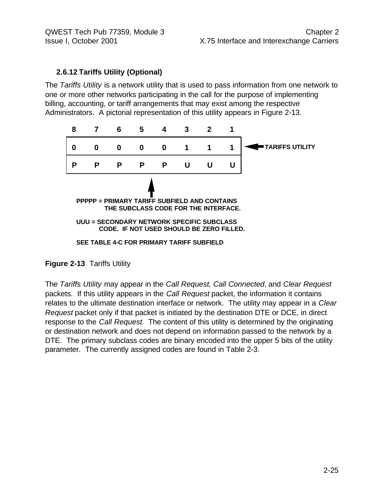#### **2.6.12 Tariffs Utility (Optional)**

The *Tariffs Utility* is a network utility that is used to pass information from one network to one or more other networks participating in the call for the purpose of implementing billing, accounting, or tariff arrangements that may exist among the respective Administrators. A pictorial representation of this utility appears in Figure 2-13.



**Figure 2-13** Tariffs Utility

The *Tariffs Utility* may appear in the *Call Request*, *Call Connected*, and *Clear Request* packets. If this utility appears in the *Call Request* packet, the information it contains relates to the ultimate destination interface or network. The utility may appear in a *Clear Request* packet only if that packet is initiated by the destination DTE or DCE, in direct response to the *Call Request*. The content of this utility is determined by the originating or destination network and does not depend on information passed to the network by a DTE. The primary subclass codes are binary encoded into the upper 5 bits of the utility parameter. The currently assigned codes are found in Table 2-3.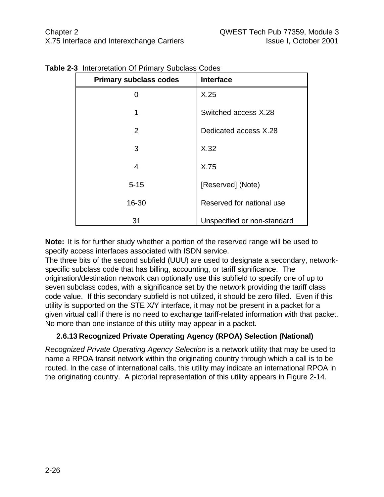| <b>Primary subclass codes</b> | <b>Interface</b>            |
|-------------------------------|-----------------------------|
| 0                             | X.25                        |
| 1                             | Switched access X.28        |
| 2                             | Dedicated access X.28       |
| 3                             | X.32                        |
| 4                             | X.75                        |
| $5 - 15$                      | [Reserved] (Note)           |
| 16-30                         | Reserved for national use   |
| 31                            | Unspecified or non-standard |

**Table 2-3** Interpretation Of Primary Subclass Codes

**Note:** It is for further study whether a portion of the reserved range will be used to specify access interfaces associated with ISDN service.

The three bits of the second subfield (UUU) are used to designate a secondary, networkspecific subclass code that has billing, accounting, or tariff significance. The origination/destination network can optionally use this subfield to specify one of up to seven subclass codes, with a significance set by the network providing the tariff class code value. If this secondary subfield is not utilized, it should be zero filled. Even if this utility is supported on the STE X/Y interface, it may not be present in a packet for a given virtual call if there is no need to exchange tariff-related information with that packet. No more than one instance of this utility may appear in a packet.

#### **2.6.13 Recognized Private Operating Agency (RPOA) Selection (National)**

*Recognized Private Operating Agency Selection* is a network utility that may be used to name a RPOA transit network within the originating country through which a call is to be routed. In the case of international calls, this utility may indicate an international RPOA in the originating country. A pictorial representation of this utility appears in Figure 2-14.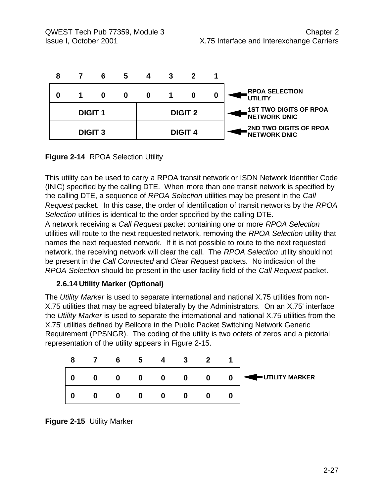

#### **Figure 2-14** RPOA Selection Utility

This utility can be used to carry a RPOA transit network or ISDN Network Identifier Code (INIC) specified by the calling DTE. When more than one transit network is specified by the calling DTE, a sequence of *RPOA Selection* utilities may be present in the *Call Request* packet. In this case, the order of identification of transit networks by the *RPOA Selection* utilities is identical to the order specified by the calling DTE. A network receiving a *Call Request* packet containing one or more *RPOA Selection* utilities will route to the next requested network, removing the *RPOA Selection* utility that names the next requested network. If it is not possible to route to the next requested

network, the receiving network will clear the call. The *RPOA Selection* utility should not be present in the *Call Connected* and *Clear Request* packets. No indication of the *RPOA Selection* should be present in the user facility field of the *Call Request* packet.

#### **2.6.14 Utility Marker (Optional)**

The *Utility Marker* is used to separate international and national X.75 utilities from non-X.75 utilities that may be agreed bilaterally by the Administrators. On an X.75' interface the *Utility Marker* is used to separate the international and national X.75 utilities from the X.75' utilities defined by Bellcore in the Public Packet Switching Network Generic Requirement (PPSNGR). The coding of the utility is two octets of zeros and a pictorial representation of the utility appears in Figure 2-15.



**Figure 2-15** Utility Marker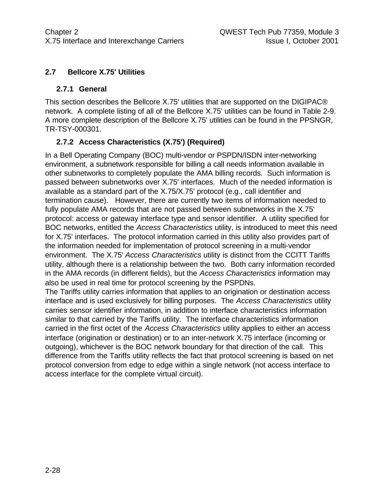#### **2.7 Bellcore X.75' Utilities**

#### **2.7.1 General**

This section describes the Bellcore X.75' utilities that are supported on the DIGIPAC® network. A complete listing of all of the Bellcore X.75' utilities can be found in Table 2-9. A more complete description of the Bellcore X.75' utilities can be found in the PPSNGR, TR-TSY-000301.

#### **2.7.2 Access Characteristics (X.75') (Required)**

In a Bell Operating Company (BOC) multi-vendor or PSPDN/ISDN inter-networking environment, a subnetwork responsible for billing a call needs information available in other subnetworks to completely populate the AMA billing records. Such information is passed between subnetworks over X.75' interfaces. Much of the needed information is available as a standard part of the X.75/X.75' protocol (e.g., call identifier and termination cause). However, there are currently two items of information needed to fully populate AMA records that are not passed between subnetworks in the X.75' protocol: access or gateway interface type and sensor identifier. A utility specified for BOC networks, entitled the *Access Characteristics* utility, is introduced to meet this need for X.75' interfaces. The protocol information carried in this utility also provides part of the information needed for implementation of protocol screening in a multi-vendor environment. The X.75' *Access Characteristics* utility is distinct from the CCITT Tariffs utility, although there is a relationship between the two. Both carry information recorded in the AMA records (in different fields), but the *Access Characteristics* information may also be used in real time for protocol screening by the PSPDNs.

The Tariffs utility carries information that applies to an origination or destination access interface and is used exclusively for billing purposes. The *Access Characteristics* utility carries sensor identifier information, in addition to interface characteristics information similar to that carried by the Tariffs utility. The interface characteristics information carried in the first octet of the *Access Characteristics* utility applies to either an access interface (origination or destination) or to an inter-network X.75 interface (incoming or outgoing), whichever is the BOC network boundary for that direction of the call. This difference from the Tariffs utility reflects the fact that protocol screening is based on net protocol conversion from edge to edge within a single network (not access interface to access interface for the complete virtual circuit).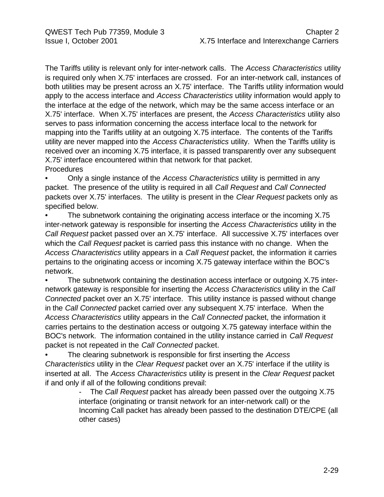The Tariffs utility is relevant only for inter-network calls. The *Access Characteristics* utility is required only when X.75' interfaces are crossed. For an inter-network call, instances of both utilities may be present across an X.75' interface. The Tariffs utility information would apply to the access interface and *Access Characteristics* utility information would apply to the interface at the edge of the network, which may be the same access interface or an X.75' interface. When X.75' interfaces are present, the *Access Characteristics* utility also serves to pass information concerning the access interface local to the network for mapping into the Tariffs utility at an outgoing X.75 interface. The contents of the Tariffs utility are never mapped into the *Access Characteristics* utility. When the Tariffs utility is received over an incoming X.75 interface, it is passed transparently over any subsequent X.75' interface encountered within that network for that packet. Procedures

• Only a single instance of the *Access Characteristics* utility is permitted in any packet. The presence of the utility is required in all *Call Request* and *Call Connected* packets over X.75' interfaces. The utility is present in the *Clear Request* packets only as specified below.

The subnetwork containing the originating access interface or the incoming X.75 inter-network gateway is responsible for inserting the *Access Characteristics* utility in the *Call Request* packet passed over an X.75' interface. All successive X.75' interfaces over which the *Call Request* packet is carried pass this instance with no change. When the *Access Characteristics* utility appears in a *Call Request* packet, the information it carries pertains to the originating access or incoming X.75 gateway interface within the BOC's network.

The subnetwork containing the destination access interface or outgoing X.75 internetwork gateway is responsible for inserting the *Access Characteristics* utility in the *Call Connected* packet over an X.75' interface. This utility instance is passed without change in the *Call Connected* packet carried over any subsequent X.75' interface. When the *Access Characteristics* utility appears in the *Call Connected* packet, the information it carries pertains to the destination access or outgoing X.75 gateway interface within the BOC's network. The information contained in the utility instance carried in *Call Request* packet is not repeated in the *Call Connected* packet.

• The clearing subnetwork is responsible for first inserting the *Access Characteristics* utility in the *Clear Request* packet over an X.75' interface if the utility is inserted at all. The *Access Characteristics* utility is present in the *Clear Request* packet if and only if all of the following conditions prevail:

- The *Call Request* packet has already been passed over the outgoing X.75 interface (originating or transit network for an inter-network call) or the Incoming Call packet has already been passed to the destination DTE/CPE (all other cases)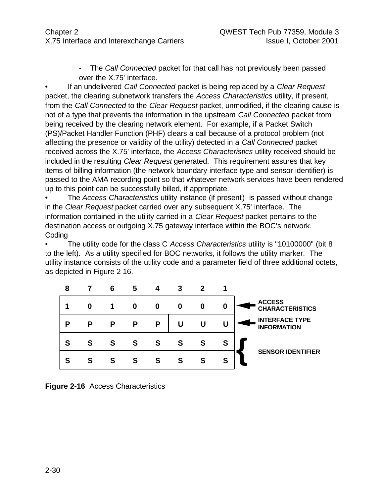The *Call Connected* packet for that call has not previously been passed over the X.75' interface.

• If an undelivered *Call Connected* packet is being replaced by a *Clear Request* packet, the clearing subnetwork transfers the *Access Characteristics* utility, if present, from the *Call Connected* to the *Clear Request* packet, unmodified, if the clearing cause is not of a type that prevents the information in the upstream *Call Connected* packet from being received by the clearing network element. For example, if a Packet Switch (PS)/Packet Handler Function (PHF) clears a call because of a protocol problem (not affecting the presence or validity of the utility) detected in a *Call Connected* packet received across the X.75' interface, the *Access Characteristics* utility received should be included in the resulting *Clear Request* generated. This requirement assures that key items of billing information (the network boundary interface type and sensor identifier) is passed to the AMA recording point so that whatever network services have been rendered up to this point can be successfully billed, if appropriate.

• The *Access Characteristics* utility instance (if present) is passed without change in the *Clear Request* packet carried over any subsequent X.75' interface. The information contained in the utility carried in a *Clear Request* packet pertains to the destination access or outgoing X.75 gateway interface within the BOC's network. **Coding** 

• The utility code for the class C *Access Characteristics* utility is "10100000" (bit 8 to the left). As a utility specified for BOC networks, it follows the utility marker. The utility instance consists of the utility code and a parameter field of three additional octets, as depicted in Figure 2-16.



**Figure 2-16** Access Characteristics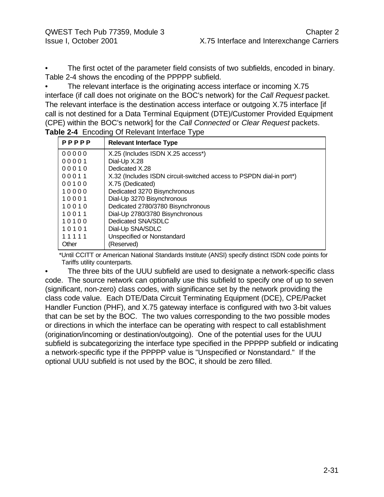The first octet of the parameter field consists of two subfields, encoded in binary. Table 2-4 shows the encoding of the PPPPP subfield.

The relevant interface is the originating access interface or incoming X.75 interface (if call does not originate on the BOC's network) for the *Call Request* packet. The relevant interface is the destination access interface or outgoing X.75 interface [if call is not destined for a Data Terminal Equipment (DTE)/Customer Provided Equipment (CPE) within the BOC's network] for the *Call Connected* or *Clear Request* packets. **Table 2-4** Encoding Of Relevant Interface Type

| PPPPP | <b>Relevant Interface Type</b>                                      |
|-------|---------------------------------------------------------------------|
| 00000 | X.25 (Includes ISDN X.25 access*)                                   |
| 00001 | Dial-Up X.28                                                        |
| 00010 | Dedicated X.28                                                      |
| 00011 | X.32 (Includes ISDN circuit-switched access to PSPDN dial-in port*) |
| 00100 | X.75 (Dedicated)                                                    |
| 10000 | Dedicated 3270 Bisynchronous                                        |
| 10001 | Dial-Up 3270 Bisynchronous                                          |
| 10010 | Dedicated 2780/3780 Bisynchronous                                   |
| 10011 | Dial-Up 2780/3780 Bisynchronous                                     |
| 10100 | Dedicated SNA/SDLC                                                  |
| 10101 | Dial-Up SNA/SDLC                                                    |
| 11111 | Unspecified or Nonstandard                                          |
| Other | (Reserved)                                                          |

\*Until CCITT or American National Standards Institute (ANSI) specify distinct ISDN code points for Tariffs utility counterparts.

The three bits of the UUU subfield are used to designate a network-specific class code. The source network can optionally use this subfield to specify one of up to seven (significant, non-zero) class codes, with significance set by the network providing the class code value. Each DTE/Data Circuit Terminating Equipment (DCE), CPE/Packet Handler Function (PHF), and X.75 gateway interface is configured with two 3-bit values that can be set by the BOC. The two values corresponding to the two possible modes or directions in which the interface can be operating with respect to call establishment (origination/incoming or destination/outgoing). One of the potential uses for the UUU subfield is subcategorizing the interface type specified in the PPPPP subfield or indicating a network-specific type if the PPPPP value is "Unspecified or Nonstandard." If the optional UUU subfield is not used by the BOC, it should be zero filled.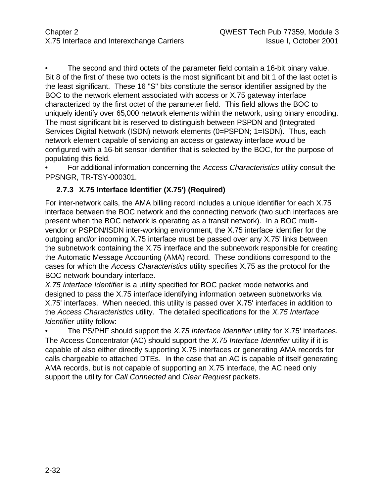The second and third octets of the parameter field contain a 16-bit binary value. Bit 8 of the first of these two octets is the most significant bit and bit 1 of the last octet is the least significant. These 16 "S" bits constitute the sensor identifier assigned by the BOC to the network element associated with access or X.75 gateway interface characterized by the first octet of the parameter field. This field allows the BOC to uniquely identify over 65,000 network elements within the network, using binary encoding. The most significant bit is reserved to distinguish between PSPDN and (Integrated Services Digital Network (ISDN) network elements (0=PSPDN; 1=ISDN). Thus, each network element capable of servicing an access or gateway interface would be configured with a 16-bit sensor identifier that is selected by the BOC, for the purpose of populating this field.

• For additional information concerning the *Access Characteristics* utility consult the PPSNGR, TR-TSY-000301.

## **2.7.3 X.75 Interface Identifier (X.75') (Required)**

For inter-network calls, the AMA billing record includes a unique identifier for each X.75 interface between the BOC network and the connecting network (two such interfaces are present when the BOC network is operating as a transit network). In a BOC multivendor or PSPDN/ISDN inter-working environment, the X.75 interface identifier for the outgoing and/or incoming X.75 interface must be passed over any X.75' links between the subnetwork containing the X.75 interface and the subnetwork responsible for creating the Automatic Message Accounting (AMA) record. These conditions correspond to the cases for which the *Access Characteristics* utility specifies X.75 as the protocol for the BOC network boundary interface.

*X.75 Interface Identifier* is a utility specified for BOC packet mode networks and designed to pass the X.75 interface identifying information between subnetworks via X.75' interfaces. When needed, this utility is passed over X.75' interfaces in addition to the *Access Characteristics* utility. The detailed specifications for the *X.75 Interface Identifier* utility follow:

• The PS/PHF should support the *X.75 Interface Identifier* utility for X.75' interfaces. The Access Concentrator (AC) should support the *X.75 Interface Identifier* utility if it is capable of also either directly supporting X.75 interfaces or generating AMA records for calls chargeable to attached DTEs. In the case that an AC is capable of itself generating AMA records, but is not capable of supporting an X.75 interface, the AC need only support the utility for *Call Connected* and *Clear Request* packets.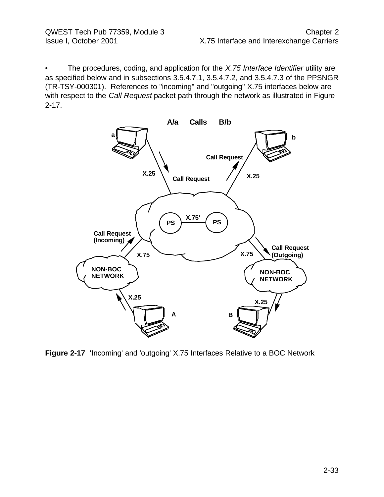• The procedures, coding, and application for the *X.75 Interface Identifier* utility are as specified below and in subsections 3.5.4.7.1, 3.5.4.7.2, and 3.5.4.7.3 of the PPSNGR (TR-TSY-000301). References to "incoming" and "outgoing" X.75 interfaces below are with respect to the *Call Request* packet path through the network as illustrated in Figure 2-17.



**Figure 2-17 '**Incoming' and 'outgoing' X.75 Interfaces Relative to a BOC Network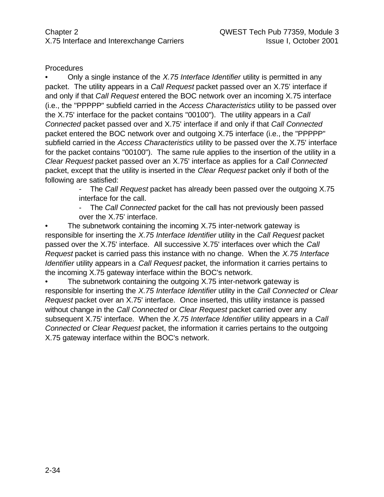#### **Procedures**

• Only a single instance of the *X.75 Interface Identifier* utility is permitted in any packet. The utility appears in a *Call Request* packet passed over an X.75' interface if and only if that *Call Request* entered the BOC network over an incoming X.75 interface (i.e., the "PPPPP" subfield carried in the *Access Characteristics* utility to be passed over the X.75' interface for the packet contains "00100"). The utility appears in a *Call Connected* packet passed over and X.75' interface if and only if that *Call Connected* packet entered the BOC network over and outgoing X.75 interface (i.e., the "PPPPP" subfield carried in the *Access Characteristics* utility to be passed over the X.75' interface for the packet contains "00100"). The same rule applies to the insertion of the utility in a *Clear Request* packet passed over an X.75' interface as applies for a *Call Connected* packet, except that the utility is inserted in the *Clear Request* packet only if both of the following are satisfied:

> - The *Call Request* packet has already been passed over the outgoing X.75 interface for the call.

- The *Call Connected* packet for the call has not previously been passed over the X.75' interface.

The subnetwork containing the incoming X.75 inter-network gateway is responsible for inserting the *X.75 Interface Identifier* utility in the *Call Request* packet passed over the X.75' interface. All successive X.75' interfaces over which the *Call Request* packet is carried pass this instance with no change. When the *X.75 Interface Identifier* utility appears in a *Call Request* packet, the information it carries pertains to the incoming X.75 gateway interface within the BOC's network.

The subnetwork containing the outgoing X.75 inter-network gateway is responsible for inserting the *X.75 Interface Identifier* utility in the *Call Connected* or *Clear Request* packet over an X.75' interface. Once inserted, this utility instance is passed without change in the *Call Connected* or *Clear Request* packet carried over any subsequent X.75' interface. When the *X.75 Interface Identifier* utility appears in a *Call Connected* or *Clear Request* packet, the information it carries pertains to the outgoing X.75 gateway interface within the BOC's network.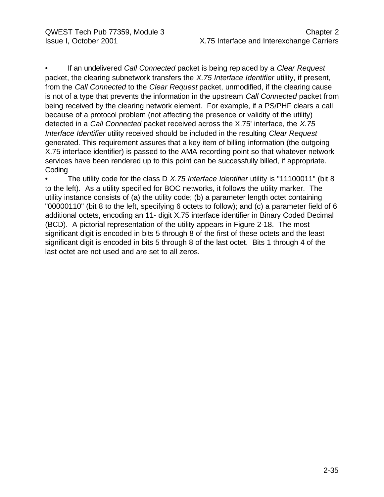• If an undelivered *Call Connected* packet is being replaced by a *Clear Request* packet, the clearing subnetwork transfers the *X.75 Interface Identifier* utility, if present, from the *Call Connected* to the *Clear Request* packet, unmodified, if the clearing cause is not of a type that prevents the information in the upstream *Call Connected* packet from being received by the clearing network element. For example, if a PS/PHF clears a call because of a protocol problem (not affecting the presence or validity of the utility) detected in a *Call Connected* packet received across the X.75' interface, the *X.75 Interface Identifier* utility received should be included in the resulting *Clear Request* generated. This requirement assures that a key item of billing information (the outgoing X.75 interface identifier) is passed to the AMA recording point so that whatever network services have been rendered up to this point can be successfully billed, if appropriate. **Coding** 

• The utility code for the class D *X.75 Interface Identifier* utility is "11100011" (bit 8 to the left). As a utility specified for BOC networks, it follows the utility marker. The utility instance consists of (a) the utility code; (b) a parameter length octet containing "00000110" (bit 8 to the left, specifying 6 octets to follow); and (c) a parameter field of 6 additional octets, encoding an 11- digit X.75 interface identifier in Binary Coded Decimal (BCD). A pictorial representation of the utility appears in Figure 2-18. The most significant digit is encoded in bits 5 through 8 of the first of these octets and the least significant digit is encoded in bits 5 through 8 of the last octet. Bits 1 through 4 of the last octet are not used and are set to all zeros.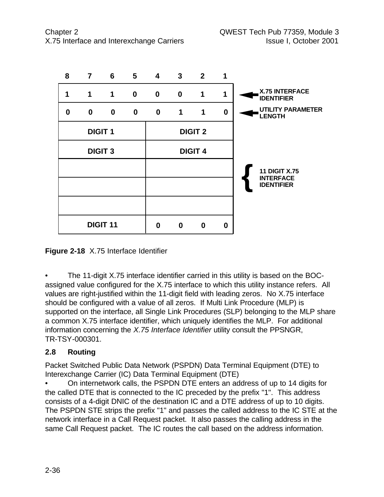

**Figure 2-18** X.75 Interface Identifier

• The 11-digit X.75 interface identifier carried in this utility is based on the BOCassigned value configured for the X.75 interface to which this utility instance refers. All values are right-justified within the 11-digit field with leading zeros. No X.75 interface should be configured with a value of all zeros. If Multi Link Procedure (MLP) is supported on the interface, all Single Link Procedures (SLP) belonging to the MLP share a common X.75 interface identifier, which uniquely identifies the MLP. For additional information concerning the *X.75 Interface Identifier* utility consult the PPSNGR, TR-TSY-000301.

## **2.8 Routing**

Packet Switched Public Data Network (PSPDN) Data Terminal Equipment (DTE) to Interexchange Carrier (IC) Data Terminal Equipment (DTE)

• On internetwork calls, the PSPDN DTE enters an address of up to 14 digits for the called DTE that is connected to the IC preceded by the prefix "1". This address consists of a 4-digit DNIC of the destination IC and a DTE address of up to 10 digits. The PSPDN STE strips the prefix "1" and passes the called address to the IC STE at the network interface in a Call Request packet. It also passes the calling address in the same Call Request packet. The IC routes the call based on the address information.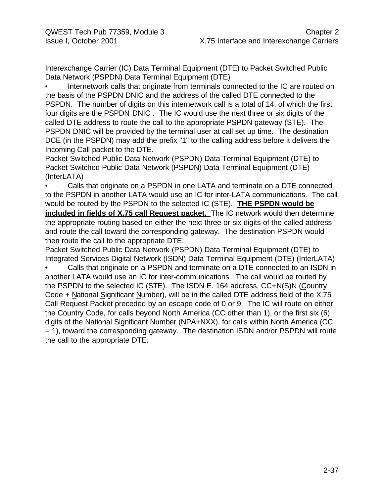Interexchange Carrier (IC) Data Terminal Equipment (DTE) to Packet Switched Public Data Network (PSPDN) Data Terminal Equipment (DTE)

Internetwork calls that originate from terminals connected to the IC are routed on the basis of the PSPDN DNIC and the address of the called DTE connected to the PSPDN. The number of digits on this internetwork call is a total of 14, of which the first four digits are the PSPDN DNIC . The IC would use the next three or six digits of the called DTE address to route the call to the appropriate PSPDN gateway (STE). The PSPDN DNIC will be provided by the terminal user at call set up time. The destination DCE (in the PSPDN) may add the prefix "1" to the calling address before it delivers the Incoming Call packet to the DTE.

Packet Switched Public Data Network (PSPDN) Data Terminal Equipment (DTE) to Packet Switched Public Data Network (PSPDN) Data Terminal Equipment (DTE) (InterLATA)

• Calls that originate on a PSPDN in one LATA and terminate on a DTE connected to the PSPDN in another LATA would use an IC for inter-LATA communications. The call would be routed by the PSPDN to the selected IC (STE). **THE PSPDN would be included in fields of X.75 call Request packet.** The IC network would then determine the appropriate routing based on either the next three or six digits of the called address and route the call toward the corresponding gateway. The destination PSPDN would then route the call to the appropriate DTE.

Packet Switched Public Data Network (PSPDN) Data Terminal Equipment (DTE) to Integrated Services Digital Network (ISDN) Data Terminal Equipment (DTE) (InterLATA)

• Calls that originate on a PSPDN and terminate on a DTE connected to an ISDN in another LATA would use an IC for inter-communications. The call would be routed by the PSPDN to the selected IC (STE). The ISDN E. 164 address, CC+N(S)N (Country Code + National Significant Number), will be in the called DTE address field of the X.75 Call Request Packet preceded by an escape code of 0 or 9. The IC will route on either the Country Code, for calls beyond North America (CC other than 1), or the first six (6) digits of the National Significant Number (NPA+NXX), for calls within North America (CC = 1), toward the corresponding gateway. The destination ISDN and/or PSPDN will route the call to the appropriate DTE.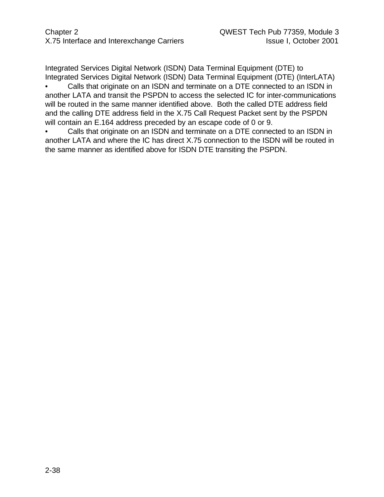Integrated Services Digital Network (ISDN) Data Terminal Equipment (DTE) to Integrated Services Digital Network (ISDN) Data Terminal Equipment (DTE) (InterLATA)

• Calls that originate on an ISDN and terminate on a DTE connected to an ISDN in another LATA and transit the PSPDN to access the selected IC for inter-communications will be routed in the same manner identified above. Both the called DTE address field and the calling DTE address field in the X.75 Call Request Packet sent by the PSPDN will contain an E.164 address preceded by an escape code of 0 or 9.

• Calls that originate on an ISDN and terminate on a DTE connected to an ISDN in another LATA and where the IC has direct X.75 connection to the ISDN will be routed in the same manner as identified above for ISDN DTE transiting the PSPDN.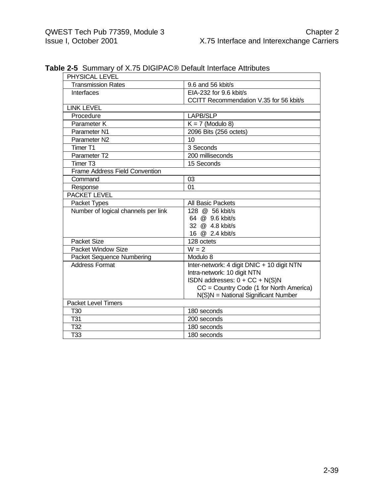| PHYSICAL LEVEL                        |                                            |
|---------------------------------------|--------------------------------------------|
| <b>Transmission Rates</b>             | 9.6 and 56 kbit/s                          |
| Interfaces                            | EIA-232 for 9.6 kbit/s                     |
|                                       | CCITT Recommendation V.35 for 56 kbit/s    |
| <b>LINK LEVEL</b>                     |                                            |
| Procedure                             | <b>LAPB/SLP</b>                            |
| Parameter K                           | $K = 7$ (Modulo 8)                         |
| Parameter N1                          | 2096 Bits (256 octets)                     |
| Parameter N2                          | 10                                         |
| Timer <sub>T1</sub>                   | 3 Seconds                                  |
| Parameter T2                          | 200 milliseconds                           |
| Timer T <sub>3</sub>                  | 15 Seconds                                 |
| <b>Frame Address Field Convention</b> |                                            |
| Command                               | 03                                         |
| Response                              | 01                                         |
| <b>PACKET LEVEL</b>                   |                                            |
| Packet Types                          | All Basic Packets                          |
| Number of logical channels per link   | 128 @ 56 kbit/s                            |
|                                       | 64 @ 9.6 kbit/s                            |
|                                       | 32 @ 4.8 kbit/s                            |
|                                       | 16 @ 2.4 kbit/s                            |
| Packet Size                           | 128 octets                                 |
| Packet Window Size                    | $W = 2$                                    |
| <b>Packet Sequence Numbering</b>      | Modulo 8                                   |
| <b>Address Format</b>                 | Inter-network: 4 digit DNIC + 10 digit NTN |
|                                       | Intra-network: 10 digit NTN                |
|                                       | ISDN addresses: 0 + CC + N(S)N             |
|                                       | CC = Country Code (1 for North America)    |
|                                       | N(S)N = National Significant Number        |
| Packet Level Timers                   |                                            |
| T30                                   | 180 seconds                                |
| T31                                   | 200 seconds                                |
| T32                                   | 180 seconds                                |
| $\overline{T33}$                      | 180 seconds                                |

**Table 2-5** Summary of X.75 DIGIPAC® Default Interface Attributes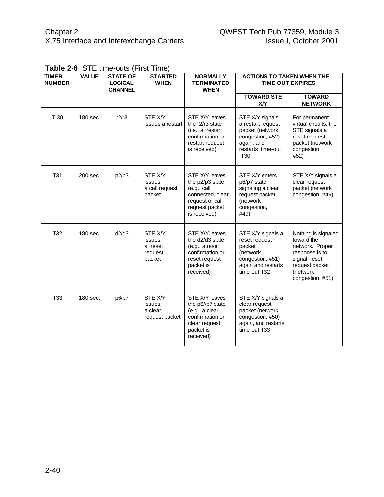| <b>TIMER</b><br><b>NUMBER</b> | <b>VALUE</b> | <b>STATE OF</b><br><b>LOGICAL</b><br><b>CHANNEL</b> | <b>STARTED</b><br><b>WHEN</b>                     | <b>NORMALLY</b><br><b>TERMINATED</b><br><b>WHEN</b>                                                                       | <b>ACTIONS TO TAKEN WHEN THE</b><br><b>TIME OUT EXPIRES</b>                                                           |                                                                                                                                          |
|-------------------------------|--------------|-----------------------------------------------------|---------------------------------------------------|---------------------------------------------------------------------------------------------------------------------------|-----------------------------------------------------------------------------------------------------------------------|------------------------------------------------------------------------------------------------------------------------------------------|
|                               |              |                                                     |                                                   |                                                                                                                           | <b>TOWARD STE</b><br><b>X/Y</b>                                                                                       | <b>TOWARD</b><br><b>NETWORK</b>                                                                                                          |
| T 30                          | 180 sec.     | r2/r3                                               | STE X/Y<br>issues a restart                       | STE X/Y leaves<br>the r2/r3 state<br>(i.e., a restart<br>confirmation or<br>restart request<br>is received)               | STE X/Y signals<br>a restart request<br>packet (network<br>congestion, #52)<br>again, and<br>restarts time-out<br>T30 | For permanent<br>virtual circuits, the<br>STE signals a<br>reset request<br>packet (network<br>congestion,<br>#52)                       |
| <b>T31</b>                    | 200 sec.     | p2/p3                                               | STE X/Y<br>issues<br>a call request<br>packet     | STE X/Y leaves<br>the p2/p3 state<br>(e.g., call<br>connected, clear<br>request or call<br>request packet<br>is received) | STE X/Y enters<br>p6/p7 state<br>signaling a clear<br>request packet<br>(network<br>congestion,<br>#49)               | STE X/Y signals a<br>clear request<br>packet (network<br>congestion, #49)                                                                |
| T32                           | 180 sec.     | d2/d3                                               | STE X/Y<br>issues<br>a reset<br>request<br>packet | STE X/Y leaves<br>the d2/d3 state<br>(e.g., a reset)<br>confirmation or<br>reset request<br>packet is<br>received)        | STE X/Y signals a<br>reset request<br>packet<br>(network<br>congestion, #51)<br>again and restarts<br>time-out T32    | Nothing is signaled<br>toward the<br>network. Proper<br>response is to<br>signal reset<br>request packet<br>(network<br>congestion, #51) |
| <b>T33</b>                    | 180 sec.     | p6/p7                                               | STE X/Y<br>issues<br>a clear<br>request packet    | STE X/Y leaves<br>the p6//p7 state<br>(e.g., a clear<br>confirmation or<br>clear request<br>packet is<br>received)        | STE X/Y signals a<br>clear request<br>packet (network<br>congestion, #50)<br>again, and restarts<br>time-out T33      |                                                                                                                                          |

|  |  | Table 2-6 STE time-outs (First Time) |  |  |
|--|--|--------------------------------------|--|--|
|--|--|--------------------------------------|--|--|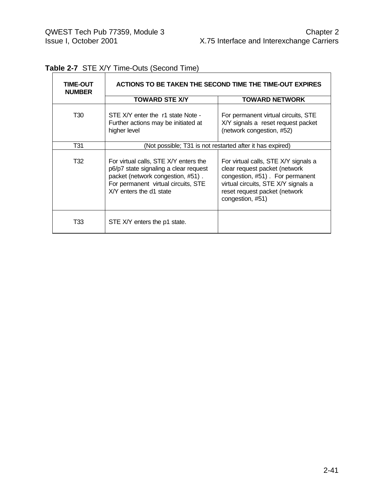| <b>TIME-OUT</b><br><b>NUMBER</b> | ACTIONS TO BE TAKEN THE SECOND TIME THE TIME-OUT EXPIRES                                                                                                                              |                                                                                                                                                                                                      |  |  |  |
|----------------------------------|---------------------------------------------------------------------------------------------------------------------------------------------------------------------------------------|------------------------------------------------------------------------------------------------------------------------------------------------------------------------------------------------------|--|--|--|
|                                  | <b>TOWARD STE X/Y</b>                                                                                                                                                                 | <b>TOWARD NETWORK</b>                                                                                                                                                                                |  |  |  |
| T30                              | STE X/Y enter the r1 state Note -<br>Further actions may be initiated at<br>higher level                                                                                              | For permanent virtual circuits, STE<br>X/Y signals a reset request packet<br>(network congestion, #52)                                                                                               |  |  |  |
| T31                              | (Not possible; T31 is not restarted after it has expired)                                                                                                                             |                                                                                                                                                                                                      |  |  |  |
| T32                              | For virtual calls, STE X/Y enters the<br>p6/p7 state signaling a clear request<br>packet (network congestion, #51).<br>For permanent virtual circuits, STE<br>X/Y enters the d1 state | For virtual calls, STE X/Y signals a<br>clear request packet (network<br>congestion, #51). For permanent<br>virtual circuits, STE X/Y signals a<br>reset request packet (network<br>congestion, #51) |  |  |  |
| T33                              | STE X/Y enters the p1 state.                                                                                                                                                          |                                                                                                                                                                                                      |  |  |  |

## **Table 2-7** STE X/Y Time-Outs (Second Time)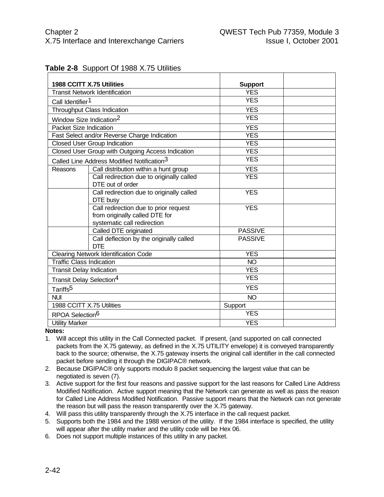|  | <b>Table 2-8</b> Support Of 1988 X.75 Utilities |
|--|-------------------------------------------------|
|--|-------------------------------------------------|

| 1988 CCITT X.75 Utilities<br><b>Transit Network Identification</b> |                                                                                                        | <b>Support</b><br><b>YES</b> |  |
|--------------------------------------------------------------------|--------------------------------------------------------------------------------------------------------|------------------------------|--|
|                                                                    |                                                                                                        | <b>YES</b>                   |  |
| Call Identifier <sup>1</sup>                                       |                                                                                                        |                              |  |
|                                                                    | Throughput Class Indication                                                                            | <b>YES</b>                   |  |
| Window Size Indication <sup>2</sup>                                |                                                                                                        | <b>YES</b>                   |  |
| <b>Packet Size Indication</b>                                      |                                                                                                        | <b>YES</b>                   |  |
|                                                                    | Fast Select and/or Reverse Charge Indication                                                           | <b>YES</b>                   |  |
|                                                                    | <b>Closed User Group Indication</b>                                                                    | <b>YES</b>                   |  |
|                                                                    | Closed User Group with Outgoing Access Indication                                                      | <b>YES</b>                   |  |
|                                                                    | Called Line Address Modified Notification <sup>3</sup>                                                 | <b>YES</b>                   |  |
| Reasons                                                            | Call distribution within a hunt group                                                                  | <b>YES</b>                   |  |
|                                                                    | Call redirection due to originally called<br>DTE out of order                                          | <b>YES</b>                   |  |
|                                                                    | Call redirection due to originally called<br>DTE busy                                                  | <b>YES</b>                   |  |
|                                                                    | Call redirection due to prior request<br>from originally called DTE for<br>systematic call redirection | <b>YES</b>                   |  |
|                                                                    | Called DTE originated                                                                                  | <b>PASSIVE</b>               |  |
|                                                                    | Call deflection by the originally called<br><b>DTE</b>                                                 | <b>PASSIVE</b>               |  |
|                                                                    | <b>Clearing Network Identification Code</b>                                                            | <b>YES</b>                   |  |
| <b>Traffic Class Indication</b>                                    |                                                                                                        | <b>NO</b>                    |  |
| <b>Transit Delay Indication</b>                                    |                                                                                                        | <b>YES</b>                   |  |
| Transit Delay Selection <sup>4</sup>                               |                                                                                                        | <b>YES</b>                   |  |
| Tariffs <sup>5</sup>                                               |                                                                                                        | <b>YES</b>                   |  |
| <b>NUI</b>                                                         |                                                                                                        | <b>NO</b>                    |  |
| 1988 CCITT X.75 Utilities                                          |                                                                                                        | Support                      |  |
| RPOA Selection <sup>6</sup>                                        |                                                                                                        | <b>YES</b>                   |  |
| <b>Utility Marker</b>                                              |                                                                                                        | <b>YES</b>                   |  |

**Notes:**

- 1. Will accept this utility in the Call Connected packet. If present, (and supported on call connected packets from the X.75 gateway, as defined in the X.75 UTILITY envelope) it is conveyed transparently back to the source; otherwise, the X.75 gateway inserts the original call identifier in the call connected packet before sending it through the DIGIPAC® network.
- 2. Because DIGIPAC® only supports modulo 8 packet sequencing the largest value that can be negotiated is seven (7).
- 3. Active support for the first four reasons and passive support for the last reasons for Called Line Address Modified Notification. Active support meaning that the Network can generate as well as pass the reason for Called Line Address Modified Notification. Passive support means that the Network can not generate the reason but will pass the reason transparently over the X.75 gateway.
- 4. Will pass this utility transparently through the X.75 interface in the call request packet.
- 5. Supports both the 1984 and the 1988 version of the utility. If the 1984 interface is specified, the utility will appear after the utility marker and the utility code will be Hex 06.
- 6. Does not support multiple instances of this utility in any packet.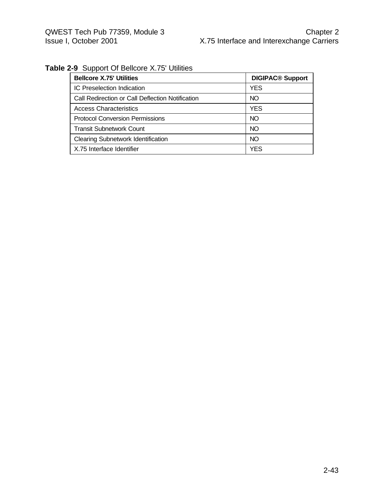## **Table 2-9** Support Of Bellcore X.75' Utilities

| <b>Bellcore X.75' Utilities</b>                  | <b>DIGIPAC® Support</b> |
|--------------------------------------------------|-------------------------|
| IC Preselection Indication                       | YES                     |
| Call Redirection or Call Deflection Notification | NO                      |
| <b>Access Characteristics</b>                    | YES                     |
| <b>Protocol Conversion Permissions</b>           | NO                      |
| Transit Subnetwork Count                         | NO                      |
| <b>Clearing Subnetwork Identification</b>        | NO                      |
| X.75 Interface Identifier                        | <b>YES</b>              |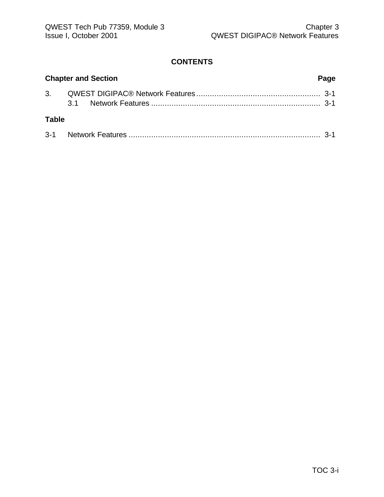#### **CONTENTS**

|              | <b>Chapter and Section</b> | Page |
|--------------|----------------------------|------|
|              |                            |      |
| <b>Table</b> |                            |      |
|              |                            |      |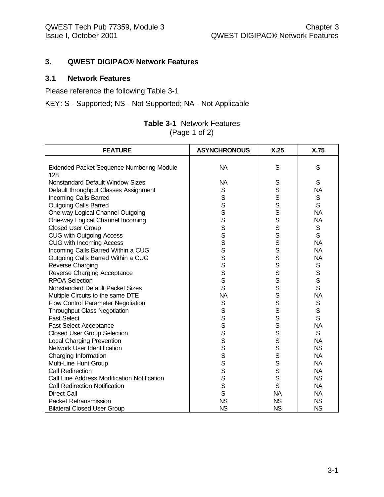#### **3. QWEST DIGIPAC® Network Features**

#### **3.1 Network Features**

Please reference the following Table 3-1

KEY: S - Supported; NS - Not Supported; NA - Not Applicable

| <b>Table 3-1 Network Features</b> |
|-----------------------------------|
| (Page 1 of 2)                     |

| <b>FEATURE</b>                                   | <b>ASYNCHRONOUS</b> | X.25      | X.75         |
|--------------------------------------------------|---------------------|-----------|--------------|
|                                                  |                     |           |              |
| <b>Extended Packet Sequence Numbering Module</b> | <b>NA</b>           | S         | S            |
| 128                                              |                     |           |              |
| <b>Nonstandard Default Window Sizes</b>          | <b>NA</b>           | S         | S            |
| Default throughput Classes Assignment            | S                   | S         | <b>NA</b>    |
| Incoming Calls Barred                            | S                   | S         | $\mathsf S$  |
| <b>Outgoing Calls Barred</b>                     | $\mathbf S$         | S         | S            |
| One-way Logical Channel Outgoing                 | S                   | S         | <b>NA</b>    |
| One-way Logical Channel Incoming                 | S                   | S         | <b>NA</b>    |
| <b>Closed User Group</b>                         | S                   | S         | S            |
| <b>CUG with Outgoing Access</b>                  | S                   | S         | S            |
| <b>CUG with Incoming Access</b>                  | S                   | S         | <b>NA</b>    |
| Incoming Calls Barred Within a CUG               | S                   | S         | <b>NA</b>    |
| Outgoing Calls Barred Within a CUG               | S                   | S         | <b>NA</b>    |
| Reverse Charging                                 | S                   | S         | $\mathsf S$  |
| Reverse Charging Acceptance                      | S                   | S         | $\mathbf S$  |
| <b>RPOA Selection</b>                            | S                   | S         | $\mathsf{s}$ |
| <b>Nonstandard Default Packet Sizes</b>          | S                   | S         | S            |
| Multiple Circuits to the same DTE                | <b>NA</b>           | s<br>s    | <b>NA</b>    |
| Flow Control Parameter Negotiation               | $\mathbb S$         |           | S            |
| <b>Throughput Class Negotiation</b>              | S                   | S         | S            |
| <b>Fast Select</b>                               | S                   | S         | S            |
| <b>Fast Select Acceptance</b>                    | S                   | S         | <b>NA</b>    |
| <b>Closed User Group Selection</b>               | S                   | S         | S            |
| <b>Local Charging Prevention</b>                 | S                   | S         | <b>NA</b>    |
| Network User Identification                      | S                   | S         | <b>NS</b>    |
| Charging Information                             | S                   | S         | <b>NA</b>    |
| Multi-Line Hunt Group                            | S                   | S         | <b>NA</b>    |
| <b>Call Redirection</b>                          | S                   | S         | <b>NA</b>    |
| Call Line Address Modification Notification      | S                   | S         | <b>NS</b>    |
| <b>Call Redirection Notification</b>             | S                   | S         | <b>NA</b>    |
| <b>Direct Call</b>                               | $\mathsf{S}$        | <b>NA</b> | <b>NA</b>    |
| <b>Packet Retransmission</b>                     | <b>NS</b>           | <b>NS</b> | <b>NS</b>    |
| <b>Bilateral Closed User Group</b>               | <b>NS</b>           | <b>NS</b> | <b>NS</b>    |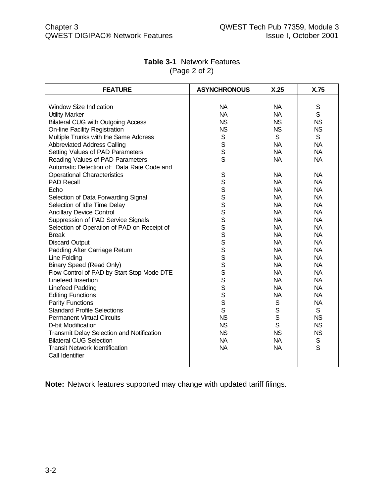| <b>FEATURE</b>                              | <b>ASYNCHRONOUS</b> | X.25         | X.75        |
|---------------------------------------------|---------------------|--------------|-------------|
|                                             |                     |              |             |
| <b>Window Size Indication</b>               | <b>NA</b>           | <b>NA</b>    | S           |
| <b>Utility Marker</b>                       | <b>NA</b>           | <b>NA</b>    | S           |
| <b>Bilateral CUG with Outgoing Access</b>   | <b>NS</b>           | <b>NS</b>    | <b>NS</b>   |
| <b>On-line Facility Registration</b>        | <b>NS</b>           | <b>NS</b>    | <b>NS</b>   |
| Multiple Trunks with the Same Address       | S                   | S            | S           |
| <b>Abbreviated Address Calling</b>          | S                   | <b>NA</b>    | <b>NA</b>   |
| Setting Values of PAD Parameters            | S                   | <b>NA</b>    | <b>NA</b>   |
| Reading Values of PAD Parameters            | S                   | <b>NA</b>    | <b>NA</b>   |
| Automatic Detection of: Data Rate Code and  |                     |              |             |
| <b>Operational Characteristics</b>          | S                   | <b>NA</b>    | <b>NA</b>   |
| <b>PAD Recall</b>                           |                     | <b>NA</b>    | <b>NA</b>   |
| Echo                                        |                     | <b>NA</b>    | <b>NA</b>   |
| Selection of Data Forwarding Signal         | S<br>S<br>S<br>S    | <b>NA</b>    | <b>NA</b>   |
| Selection of Idle Time Delay                |                     | <b>NA</b>    | <b>NA</b>   |
| <b>Ancillary Device Control</b>             | S                   | <b>NA</b>    | <b>NA</b>   |
| Suppression of PAD Service Signals          | S                   | <b>NA</b>    | <b>NA</b>   |
| Selection of Operation of PAD on Receipt of | S                   | <b>NA</b>    | <b>NA</b>   |
| <b>Break</b>                                | S                   | <b>NA</b>    | <b>NA</b>   |
| <b>Discard Output</b>                       | S                   | <b>NA</b>    | <b>NA</b>   |
| Padding After Carriage Return               | S                   | <b>NA</b>    | <b>NA</b>   |
| Line Folding                                | S                   | <b>NA</b>    | <b>NA</b>   |
| <b>Binary Speed (Read Only)</b>             | S                   | <b>NA</b>    | <b>NA</b>   |
| Flow Control of PAD by Start-Stop Mode DTE  | S                   | <b>NA</b>    | <b>NA</b>   |
| Linefeed Insertion                          | S                   | <b>NA</b>    | <b>NA</b>   |
| Linefeed Padding                            | S                   | <b>NA</b>    | <b>NA</b>   |
| <b>Editing Functions</b>                    | S                   | <b>NA</b>    | <b>NA</b>   |
| <b>Parity Functions</b>                     | S                   | $\mathsf S$  | <b>NA</b>   |
| <b>Standard Profile Selections</b>          | S                   | $\mathsf{S}$ | S           |
| <b>Permanent Virtual Circuits</b>           | <b>NS</b>           | $\mathsf S$  | <b>NS</b>   |
| D-bit Modification                          | <b>NS</b>           | $\mathsf{S}$ | <b>NS</b>   |
| Transmit Delay Selection and Notification   | <b>NS</b>           | <b>NS</b>    | <b>NS</b>   |
| <b>Bilateral CUG Selection</b>              | <b>NA</b>           | <b>NA</b>    | $\mathbb S$ |
| <b>Transit Network Identification</b>       | <b>NA</b>           | <b>NA</b>    | S           |
| Call Identifier                             |                     |              |             |
|                                             |                     |              |             |

#### **Table 3-1** Network Features (Page 2 of 2)

**Note:** Network features supported may change with updated tariff filings.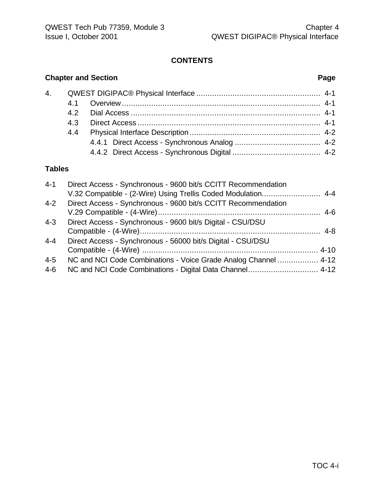## **CONTENTS**

## **Chapter and Section Page**

## **Tables**

| $4 - 1$ | Direct Access - Synchronous - 9600 bit/s CCITT Recommendation   |  |
|---------|-----------------------------------------------------------------|--|
|         | V.32 Compatible - (2-Wire) Using Trellis Coded Modulation 4-4   |  |
| $4 - 2$ | Direct Access - Synchronous - 9600 bit/s CCITT Recommendation   |  |
|         |                                                                 |  |
| $4 - 3$ | Direct Access - Synchronous - 9600 bit/s Digital - CSU/DSU      |  |
|         |                                                                 |  |
| $4 - 4$ | Direct Access - Synchronous - 56000 bit/s Digital - CSU/DSU     |  |
|         |                                                                 |  |
| $4 - 5$ | NC and NCI Code Combinations - Voice Grade Analog Channel  4-12 |  |
| 4-6     |                                                                 |  |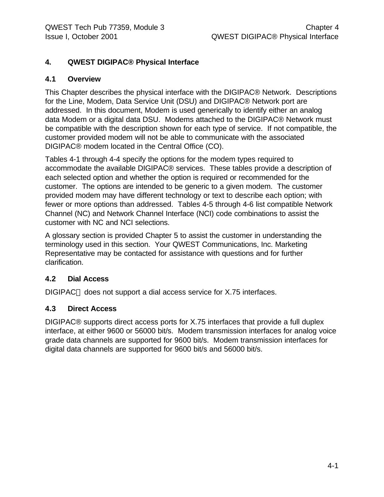### **4. QWEST DIGIPAC® Physical Interface**

#### **4.1 Overview**

This Chapter describes the physical interface with the DIGIPAC® Network. Descriptions for the Line, Modem, Data Service Unit (DSU) and DIGIPAC® Network port are addressed. In this document, Modem is used generically to identify either an analog data Modem or a digital data DSU. Modems attached to the DIGIPAC® Network must be compatible with the description shown for each type of service. If not compatible, the customer provided modem will not be able to communicate with the associated DIGIPAC® modem located in the Central Office (CO).

Tables 4-1 through 4-4 specify the options for the modem types required to accommodate the available DIGIPAC® services. These tables provide a description of each selected option and whether the option is required or recommended for the customer. The options are intended to be generic to a given modem. The customer provided modem may have different technology or text to describe each option; with fewer or more options than addressed. Tables 4-5 through 4-6 list compatible Network Channel (NC) and Network Channel Interface (NCI) code combinations to assist the customer with NC and NCI selections.

A glossary section is provided Chapter 5 to assist the customer in understanding the terminology used in this section. Your QWEST Communications, Inc. Marketing Representative may be contacted for assistance with questions and for further clarification.

#### **4.2 Dial Access**

DIGIPAC<sup>®</sup> does not support a dial access service for X.75 interfaces.

#### **4.3 Direct Access**

DIGIPAC® supports direct access ports for X.75 interfaces that provide a full duplex interface, at either 9600 or 56000 bit/s. Modem transmission interfaces for analog voice grade data channels are supported for 9600 bit/s. Modem transmission interfaces for digital data channels are supported for 9600 bit/s and 56000 bit/s.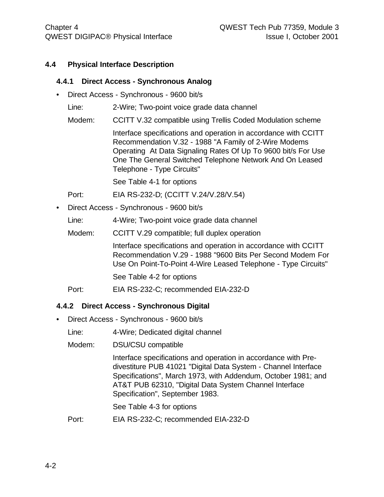#### **4.4 Physical Interface Description**

#### **4.4.1 Direct Access - Synchronous Analog**

- Direct Access Synchronous 9600 bit/s
	- Line: 2-Wire; Two-point voice grade data channel
	- Modem: CCITT V.32 compatible using Trellis Coded Modulation scheme

Interface specifications and operation in accordance with CCITT Recommendation V.32 - 1988 "A Family of 2-Wire Modems Operating At Data Signaling Rates Of Up To 9600 bit/s For Use One The General Switched Telephone Network And On Leased Telephone - Type Circuits"

See Table 4-1 for options

Port: EIA RS-232-D; (CCITT V.24/V.28/V.54)

• Direct Access - Synchronous - 9600 bit/s

Line: 4-Wire; Two-point voice grade data channel

Modem: CCITT V.29 compatible; full duplex operation

Interface specifications and operation in accordance with CCITT Recommendation V.29 - 1988 "9600 Bits Per Second Modem For Use On Point-To-Point 4-Wire Leased Telephone - Type Circuits"

See Table 4-2 for options

Port: EIA RS-232-C; recommended EIA-232-D

#### **4.4.2 Direct Access - Synchronous Digital**

• Direct Access - Synchronous - 9600 bit/s

Line: 4-Wire; Dedicated digital channel

Modem: DSU/CSU compatible

Interface specifications and operation in accordance with Predivestiture PUB 41021 "Digital Data System - Channel Interface Specifications", March 1973, with Addendum, October 1981; and AT&T PUB 62310, "Digital Data System Channel Interface Specification", September 1983.

See Table 4-3 for options

Port: EIA RS-232-C; recommended EIA-232-D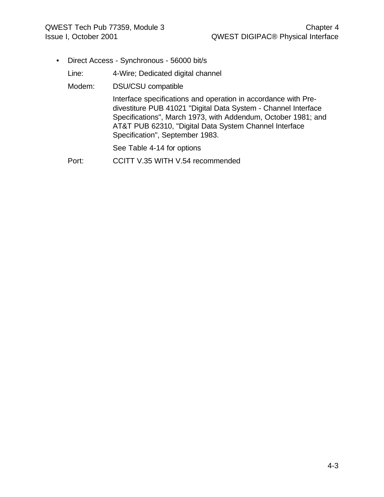• Direct Access - Synchronous - 56000 bit/s

Line: 4-Wire; Dedicated digital channel

Modem: DSU/CSU compatible

Interface specifications and operation in accordance with Predivestiture PUB 41021 "Digital Data System - Channel Interface Specifications", March 1973, with Addendum, October 1981; and AT&T PUB 62310, "Digital Data System Channel Interface Specification", September 1983.

See Table 4-14 for options

Port: CCITT V.35 WITH V.54 recommended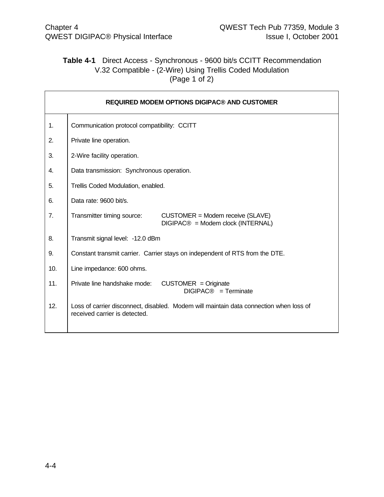### **Table 4-1** Direct Access - Synchronous - 9600 bit/s CCITT Recommendation V.32 Compatible - (2-Wire) Using Trellis Coded Modulation (Page 1 of 2)

| REQUIRED MODEM OPTIONS DIGIPAC® AND CUSTOMER |                                                                                                                         |  |  |  |  |  |  |  |  |
|----------------------------------------------|-------------------------------------------------------------------------------------------------------------------------|--|--|--|--|--|--|--|--|
| 1.                                           | Communication protocol compatibility: CCITT                                                                             |  |  |  |  |  |  |  |  |
| 2.                                           | Private line operation.                                                                                                 |  |  |  |  |  |  |  |  |
| 3.                                           | 2-Wire facility operation.                                                                                              |  |  |  |  |  |  |  |  |
| 4.                                           | Data transmission: Synchronous operation.                                                                               |  |  |  |  |  |  |  |  |
| 5.                                           | Trellis Coded Modulation, enabled.                                                                                      |  |  |  |  |  |  |  |  |
| 6.                                           | Data rate: 9600 bit/s.                                                                                                  |  |  |  |  |  |  |  |  |
| 7.                                           | Transmitter timing source:<br>CUSTOMER = Modem receive (SLAVE)<br>DIGIPAC® = Modem clock (INTERNAL)                     |  |  |  |  |  |  |  |  |
| 8.                                           | Transmit signal level: -12.0 dBm                                                                                        |  |  |  |  |  |  |  |  |
| 9.                                           | Constant transmit carrier. Carrier stays on independent of RTS from the DTE.                                            |  |  |  |  |  |  |  |  |
| 10.                                          | Line impedance: 600 ohms.                                                                                               |  |  |  |  |  |  |  |  |
| 11.                                          | Private line handshake mode:<br>$CUSTOMER = Originate$<br>DIGIPAC <sup>®</sup> = Terminate                              |  |  |  |  |  |  |  |  |
| 12.                                          | Loss of carrier disconnect, disabled. Modem will maintain data connection when loss of<br>received carrier is detected. |  |  |  |  |  |  |  |  |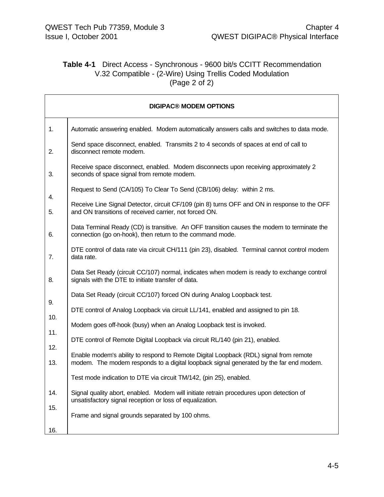### **Table 4-1** Direct Access - Synchronous - 9600 bit/s CCITT Recommendation V.32 Compatible - (2-Wire) Using Trellis Coded Modulation (Page 2 of 2)

| <b>DIGIPAC® MODEM OPTIONS</b> |                                                                                                                                                                                 |  |  |  |  |  |  |  |  |
|-------------------------------|---------------------------------------------------------------------------------------------------------------------------------------------------------------------------------|--|--|--|--|--|--|--|--|
| 1.                            | Automatic answering enabled. Modem automatically answers calls and switches to data mode.                                                                                       |  |  |  |  |  |  |  |  |
| 2.                            | Send space disconnect, enabled. Transmits 2 to 4 seconds of spaces at end of call to<br>disconnect remote modem.                                                                |  |  |  |  |  |  |  |  |
| 3.                            | Receive space disconnect, enabled. Modem disconnects upon receiving approximately 2<br>seconds of space signal from remote modem.                                               |  |  |  |  |  |  |  |  |
|                               | Request to Send (CA/105) To Clear To Send (CB/106) delay: within 2 ms.                                                                                                          |  |  |  |  |  |  |  |  |
| 4.<br>5.                      | Receive Line Signal Detector, circuit CF/109 (pin 8) turns OFF and ON in response to the OFF<br>and ON transitions of received carrier, not forced ON.                          |  |  |  |  |  |  |  |  |
| 6.                            | Data Terminal Ready (CD) is transitive. An OFF transition causes the modem to terminate the<br>connection (go on-hook), then return to the command mode.                        |  |  |  |  |  |  |  |  |
| 7.                            | DTE control of data rate via circuit CH/111 (pin 23), disabled. Terminal cannot control modem<br>data rate.                                                                     |  |  |  |  |  |  |  |  |
| 8.                            | Data Set Ready (circuit CC/107) normal, indicates when modem is ready to exchange control<br>signals with the DTE to initiate transfer of data.                                 |  |  |  |  |  |  |  |  |
|                               | Data Set Ready (circuit CC/107) forced ON during Analog Loopback test.                                                                                                          |  |  |  |  |  |  |  |  |
| 9.                            | DTE control of Analog Loopback via circuit LL/141, enabled and assigned to pin 18.                                                                                              |  |  |  |  |  |  |  |  |
| 10.                           | Modem goes off-hook (busy) when an Analog Loopback test is invoked.                                                                                                             |  |  |  |  |  |  |  |  |
| 11.                           | DTE control of Remote Digital Loopback via circuit RL/140 (pin 21), enabled.                                                                                                    |  |  |  |  |  |  |  |  |
| 12.<br>13.                    | Enable modem's ability to respond to Remote Digital Loopback (RDL) signal from remote<br>modem. The modem responds to a digital loopback signal generated by the far end modem. |  |  |  |  |  |  |  |  |
|                               | Test mode indication to DTE via circuit TM/142, (pin 25), enabled.                                                                                                              |  |  |  |  |  |  |  |  |
| 14.                           | Signal quality abort, enabled. Modem will initiate retrain procedures upon detection of<br>unsatisfactory signal reception or loss of equalization.                             |  |  |  |  |  |  |  |  |
| 15.<br>16.                    | Frame and signal grounds separated by 100 ohms.                                                                                                                                 |  |  |  |  |  |  |  |  |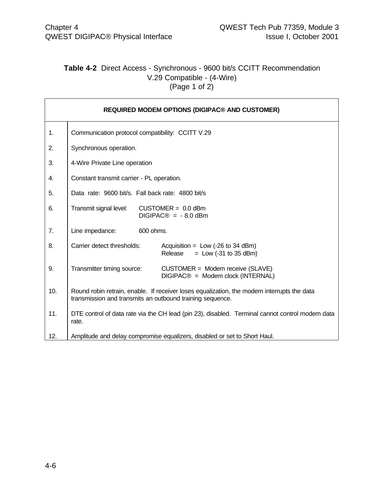### **Table 4-2** Direct Access - Synchronous - 9600 bit/s CCITT Recommendation V.29 Compatible - (4-Wire) (Page 1 of 2)

| <b>REQUIRED MODEM OPTIONS (DIGIPAC® AND CUSTOMER)</b> |                                                                                                                                                         |  |  |  |  |  |  |
|-------------------------------------------------------|---------------------------------------------------------------------------------------------------------------------------------------------------------|--|--|--|--|--|--|
| 1.                                                    | Communication protocol compatibility: CCITT V.29                                                                                                        |  |  |  |  |  |  |
| 2.                                                    | Synchronous operation.                                                                                                                                  |  |  |  |  |  |  |
| 3.                                                    | 4-Wire Private Line operation                                                                                                                           |  |  |  |  |  |  |
| 4.                                                    | Constant transmit carrier - PL operation.                                                                                                               |  |  |  |  |  |  |
| 5.                                                    | Data rate: 9600 bit/s. Fall back rate: 4800 bit/s                                                                                                       |  |  |  |  |  |  |
| 6.                                                    | Transmit signal level:<br>$CUSTOMER = 0.0$ dBm<br>$DIGIPAC@ = -8.0$ dBm                                                                                 |  |  |  |  |  |  |
| 7.                                                    | Line impedance:<br>600 ohms.                                                                                                                            |  |  |  |  |  |  |
| 8.                                                    | Carrier detect thresholds:<br>Acquisition = $Low$ (-26 to 34 dBm)<br>Release<br>$=$ Low (-31 to 35 dBm)                                                 |  |  |  |  |  |  |
| 9.                                                    | Transmitter timing source:<br>CUSTOMER = Modem receive (SLAVE)<br>DIGIPAC® = Modem clock (INTERNAL)                                                     |  |  |  |  |  |  |
| 10.                                                   | Round robin retrain, enable. If receiver loses equalization, the modem interrupts the data<br>transmission and transmits an outbound training sequence. |  |  |  |  |  |  |
| 11.                                                   | DTE control of data rate via the CH lead (pin 23), disabled. Terminal cannot control modem data<br>rate.                                                |  |  |  |  |  |  |
| 12.                                                   | Amplitude and delay compromise equalizers, disabled or set to Short Haul.                                                                               |  |  |  |  |  |  |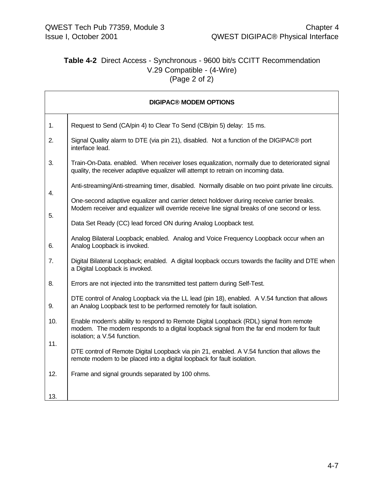### **Table 4-2** Direct Access - Synchronous - 9600 bit/s CCITT Recommendation V.29 Compatible - (4-Wire) (Page 2 of 2)

| <b>DIGIPAC® MODEM OPTIONS</b> |                                                                                                                                                                                                                 |  |  |  |  |  |  |
|-------------------------------|-----------------------------------------------------------------------------------------------------------------------------------------------------------------------------------------------------------------|--|--|--|--|--|--|
| 1.                            | Request to Send (CA/pin 4) to Clear To Send (CB/pin 5) delay: 15 ms.                                                                                                                                            |  |  |  |  |  |  |
| 2.                            | Signal Quality alarm to DTE (via pin 21), disabled. Not a function of the DIGIPAC® port<br>interface lead.                                                                                                      |  |  |  |  |  |  |
| 3.                            | Train-On-Data. enabled. When receiver loses equalization, normally due to deteriorated signal<br>quality, the receiver adaptive equalizer will attempt to retrain on incoming data.                             |  |  |  |  |  |  |
| 4.                            | Anti-streaming/Anti-streaming timer, disabled. Normally disable on two point private line circuits.                                                                                                             |  |  |  |  |  |  |
| 5.                            | One-second adaptive equalizer and carrier detect holdover during receive carrier breaks.<br>Modem receiver and equalizer will override receive line signal breaks of one second or less.                        |  |  |  |  |  |  |
|                               | Data Set Ready (CC) lead forced ON during Analog Loopback test.                                                                                                                                                 |  |  |  |  |  |  |
| 6.                            | Analog Bilateral Loopback; enabled. Analog and Voice Frequency Loopback occur when an<br>Analog Loopback is invoked.                                                                                            |  |  |  |  |  |  |
| 7.                            | Digital Bilateral Loopback; enabled. A digital loopback occurs towards the facility and DTE when<br>a Digital Loopback is invoked.                                                                              |  |  |  |  |  |  |
| 8.                            | Errors are not injected into the transmitted test pattern during Self-Test.                                                                                                                                     |  |  |  |  |  |  |
| 9.                            | DTE control of Analog Loopback via the LL lead (pin 18), enabled. A V.54 function that allows<br>an Analog Loopback test to be performed remotely for fault isolation.                                          |  |  |  |  |  |  |
| 10.                           | Enable modem's ability to respond to Remote Digital Loopback (RDL) signal from remote<br>modem. The modem responds to a digital loopback signal from the far end modem for fault<br>isolation; a V.54 function. |  |  |  |  |  |  |
| 11.                           | DTE control of Remote Digital Loopback via pin 21, enabled. A V.54 function that allows the<br>remote modem to be placed into a digital loopback for fault isolation.                                           |  |  |  |  |  |  |
| 12.                           | Frame and signal grounds separated by 100 ohms.                                                                                                                                                                 |  |  |  |  |  |  |
| 13.                           |                                                                                                                                                                                                                 |  |  |  |  |  |  |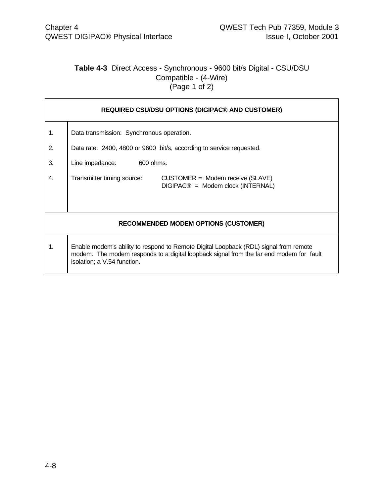### **Table 4-3** Direct Access - Synchronous - 9600 bit/s Digital - CSU/DSU Compatible - (4-Wire) (Page 1 of 2)

| <b>REQUIRED CSU/DSU OPTIONS (DIGIPAC® AND CUSTOMER)</b> |                                                                                                                                                                                                                 |  |  |  |  |  |  |  |  |
|---------------------------------------------------------|-----------------------------------------------------------------------------------------------------------------------------------------------------------------------------------------------------------------|--|--|--|--|--|--|--|--|
| 1.                                                      | Data transmission: Synchronous operation.                                                                                                                                                                       |  |  |  |  |  |  |  |  |
| 2.                                                      | Data rate: 2400, 4800 or 9600 bit/s, according to service requested.                                                                                                                                            |  |  |  |  |  |  |  |  |
| 3.                                                      | Line impedance:<br>600 ohms.                                                                                                                                                                                    |  |  |  |  |  |  |  |  |
| 4.                                                      | Transmitter timing source:<br>$CUSTOMER = Modem receive (SLAVE)$<br>$DIGIPAC@ = Modem clock (INTERNAL)$                                                                                                         |  |  |  |  |  |  |  |  |
|                                                         | <b>RECOMMENDED MODEM OPTIONS (CUSTOMER)</b>                                                                                                                                                                     |  |  |  |  |  |  |  |  |
| 1.                                                      | Enable modem's ability to respond to Remote Digital Loopback (RDL) signal from remote<br>modem. The modem responds to a digital loopback signal from the far end modem for fault<br>isolation; a V.54 function. |  |  |  |  |  |  |  |  |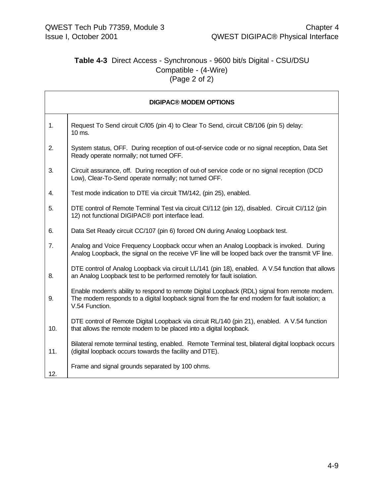### **Table 4-3** Direct Access - Synchronous - 9600 bit/s Digital - CSU/DSU Compatible - (4-Wire) (Page 2 of 2)

| <b>DIGIPAC® MODEM OPTIONS</b> |                                                                                                                                                                                                                 |  |  |  |  |  |
|-------------------------------|-----------------------------------------------------------------------------------------------------------------------------------------------------------------------------------------------------------------|--|--|--|--|--|
| 1.                            | Request To Send circuit C/l05 (pin 4) to Clear To Send, circuit CB/106 (pin 5) delay:<br>10 ms.                                                                                                                 |  |  |  |  |  |
| 2.                            | System status, OFF. During reception of out-of-service code or no signal reception, Data Set<br>Ready operate normally; not turned OFF.                                                                         |  |  |  |  |  |
| 3.                            | Circuit assurance, off. During reception of out-of service code or no signal reception (DCD)<br>Low), Clear-To-Send operate normally; not turned OFF.                                                           |  |  |  |  |  |
| 4.                            | Test mode indication to DTE via circuit TM/142, (pin 25), enabled.                                                                                                                                              |  |  |  |  |  |
| 5.                            | DTE control of Remote Terminal Test via circuit CI/112 (pin 12), disabled. Circuit CI/112 (pin<br>12) not functional DIGIPAC® port interface lead.                                                              |  |  |  |  |  |
| 6.                            | Data Set Ready circuit CC/107 (pin 6) forced ON during Analog Loopback test.                                                                                                                                    |  |  |  |  |  |
| 7.                            | Analog and Voice Frequency Loopback occur when an Analog Loopback is invoked. During<br>Analog Loopback, the signal on the receive VF line will be looped back over the transmit VF line.                       |  |  |  |  |  |
| 8.                            | DTE control of Analog Loopback via circuit LL/141 (pin 18), enabled. A V.54 function that allows<br>an Analog Loopback test to be performed remotely for fault isolation.                                       |  |  |  |  |  |
| 9.                            | Enable modem's ability to respond to remote Digital Loopback (RDL) signal from remote modem.<br>The modem responds to a digital loopback signal from the far end modem for fault isolation; a<br>V.54 Function. |  |  |  |  |  |
| 10.                           | DTE control of Remote Digital Loopback via circuit RL/140 (pin 21), enabled. A V.54 function<br>that allows the remote modem to be placed into a digital loopback.                                              |  |  |  |  |  |
| 11.                           | Bilateral remote terminal testing, enabled. Remote Terminal test, bilateral digital loopback occurs<br>(digital loopback occurs towards the facility and DTE).                                                  |  |  |  |  |  |
| 12.                           | Frame and signal grounds separated by 100 ohms.                                                                                                                                                                 |  |  |  |  |  |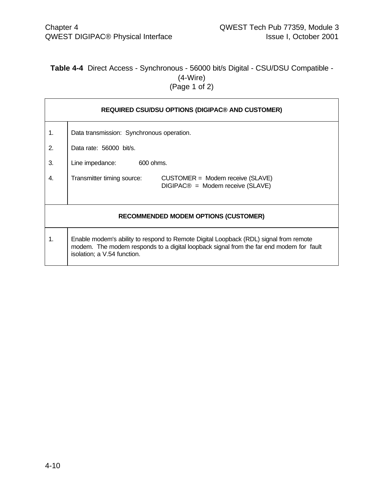### **Table 4-4** Direct Access - Synchronous - 56000 bit/s Digital - CSU/DSU Compatible - (4-Wire) (Page 1 of 2)

| <b>REQUIRED CSU/DSU OPTIONS (DIGIPAC® AND CUSTOMER)</b> |                                                                                                                                                                                                                 |  |  |  |  |  |  |  |
|---------------------------------------------------------|-----------------------------------------------------------------------------------------------------------------------------------------------------------------------------------------------------------------|--|--|--|--|--|--|--|
| 1.                                                      | Data transmission: Synchronous operation.                                                                                                                                                                       |  |  |  |  |  |  |  |
| 2.                                                      | Data rate: 56000 bit/s.                                                                                                                                                                                         |  |  |  |  |  |  |  |
| 3.                                                      | Line impedance:<br>600 ohms.                                                                                                                                                                                    |  |  |  |  |  |  |  |
| 4.                                                      | Transmitter timing source:<br>CUSTOMER = Modem receive (SLAVE)<br>DIGIPAC <sup>®</sup> = Modem receive (SLAVE)                                                                                                  |  |  |  |  |  |  |  |
|                                                         | <b>RECOMMENDED MODEM OPTIONS (CUSTOMER)</b>                                                                                                                                                                     |  |  |  |  |  |  |  |
| 1.                                                      | Enable modem's ability to respond to Remote Digital Loopback (RDL) signal from remote<br>modem. The modem responds to a digital loopback signal from the far end modem for fault<br>isolation; a V.54 function. |  |  |  |  |  |  |  |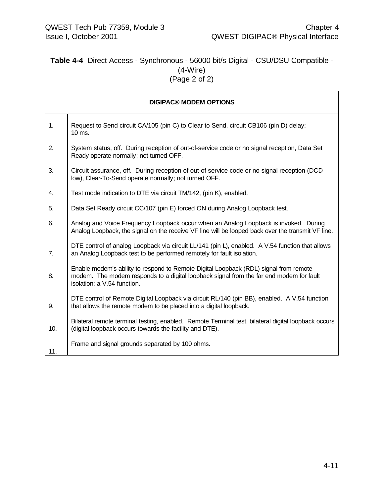### **Table 4-4** Direct Access - Synchronous - 56000 bit/s Digital - CSU/DSU Compatible - (4-Wire) (Page 2 of 2)

| <b>DIGIPAC® MODEM OPTIONS</b> |                                                                                                                                                                                                                 |  |  |  |  |  |
|-------------------------------|-----------------------------------------------------------------------------------------------------------------------------------------------------------------------------------------------------------------|--|--|--|--|--|
| 1.                            | Request to Send circuit CA/105 (pin C) to Clear to Send, circuit CB106 (pin D) delay:<br>10 ms.                                                                                                                 |  |  |  |  |  |
| 2.                            | System status, off. During reception of out-of-service code or no signal reception, Data Set<br>Ready operate normally; not turned OFF.                                                                         |  |  |  |  |  |
| 3.                            | Circuit assurance, off. During reception of out-of service code or no signal reception (DCD<br>low), Clear-To-Send operate normally; not turned OFF.                                                            |  |  |  |  |  |
| 4.                            | Test mode indication to DTE via circuit TM/142, (pin K), enabled.                                                                                                                                               |  |  |  |  |  |
| 5.                            | Data Set Ready circuit CC/107 (pin E) forced ON during Analog Loopback test.                                                                                                                                    |  |  |  |  |  |
| 6.                            | Analog and Voice Frequency Loopback occur when an Analog Loopback is invoked. During<br>Analog Loopback, the signal on the receive VF line will be looped back over the transmit VF line.                       |  |  |  |  |  |
| 7.                            | DTE control of analog Loopback via circuit LL/141 (pin L), enabled. A V.54 function that allows<br>an Analog Loopback test to be performed remotely for fault isolation.                                        |  |  |  |  |  |
| 8.                            | Enable modem's ability to respond to Remote Digital Loopback (RDL) signal from remote<br>modem. The modem responds to a digital loopback signal from the far end modem for fault<br>isolation; a V.54 function. |  |  |  |  |  |
| 9.                            | DTE control of Remote Digital Loopback via circuit RL/140 (pin BB), enabled. A V.54 function<br>that allows the remote modem to be placed into a digital loopback.                                              |  |  |  |  |  |
| 10.                           | Bilateral remote terminal testing, enabled. Remote Terminal test, bilateral digital loopback occurs<br>(digital loopback occurs towards the facility and DTE).                                                  |  |  |  |  |  |
| 11.                           | Frame and signal grounds separated by 100 ohms.                                                                                                                                                                 |  |  |  |  |  |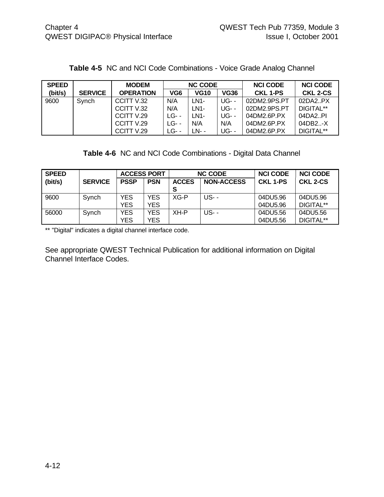| <b>SPEED</b> |                | <b>MODEM</b>     |         | <b>NC CODE</b> |             | <b>NCI CODE</b> | <b>NCI CODE</b> |
|--------------|----------------|------------------|---------|----------------|-------------|-----------------|-----------------|
| (bit/s)      | <b>SERVICE</b> | <b>OPERATION</b> | VG6     | <b>VG10</b>    | <b>VG36</b> | CKL 1-PS        | <b>CKL 2-CS</b> |
| 9600         | Svnch          | CCITT V.32       | N/A     | LN1-           | UG- -       | 02DM2.9PS.PT    | 02DA2.PX        |
|              |                | CCITT V.32       | N/A     | LN1-           | <b>UG--</b> | 02DM2.9PS.PT    | DIGITAL**       |
|              |                | CCITT V.29       | $LG$ -- | LN1-           | $UG$ - -    | 04DM2.6P.PX     | 04DA2.PI        |
|              |                | CCITT V.29       | LG- -   | N/A            | N/A         | 04DM2.6P.PX     | 04DB2X          |
|              |                | CCITT V.29       | LG- -   | LN- -          | <b>UG--</b> | 04DM2.6P.PX     | DIGITAL**       |

#### **Table 4-5** NC and NCI Code Combinations - Voice Grade Analog Channel

**Table 4-6** NC and NCI Code Combinations - Digital Data Channel

| <b>SPEED</b> |                | <b>ACCESS PORT</b> |            | <b>NC CODE</b>    |                   | <b>NCI CODE</b> | <b>NCI CODE</b> |
|--------------|----------------|--------------------|------------|-------------------|-------------------|-----------------|-----------------|
| (bit/s)      | <b>SERVICE</b> | <b>PSSP</b>        | <b>PSN</b> | <b>ACCES</b><br>s | <b>NON-ACCESS</b> | <b>CKL 1-PS</b> | CKL 2-CS        |
|              |                |                    |            |                   |                   |                 |                 |
| 9600         | Synch          | YES                | YES        | XG-P              | US- -             | 04DU5.96        | 04DU5.96        |
|              |                | <b>YES</b>         | <b>YES</b> |                   |                   | 04DU5.96        | DIGITAL**       |
| 56000        | Synch          | YES.               | YES        | XH-P              | US- -             | 04DU5.56        | 04DU5.56        |
|              |                | YES                | YES.       |                   |                   | 04DU5.56        | DIGITAL**       |

\*\* "Digital" indicates a digital channel interface code.

See appropriate QWEST Technical Publication for additional information on Digital Channel Interface Codes.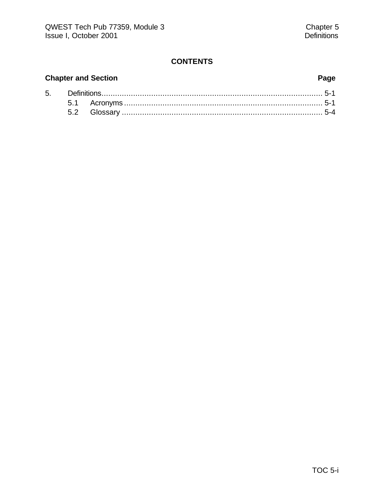## **CONTENTS**

# **Chapter and Section Page**

| 5. |  |  |  |
|----|--|--|--|
|    |  |  |  |
|    |  |  |  |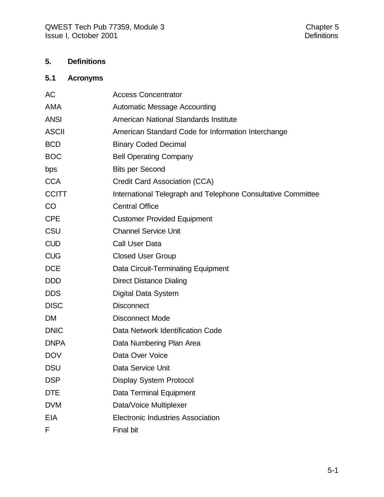## **5. Definitions**

# **5.1 Acronyms**

| AC           | <b>Access Concentrator</b>                                   |
|--------------|--------------------------------------------------------------|
| <b>AMA</b>   | <b>Automatic Message Accounting</b>                          |
| <b>ANSI</b>  | American National Standards Institute                        |
| <b>ASCII</b> | American Standard Code for Information Interchange           |
| <b>BCD</b>   | <b>Binary Coded Decimal</b>                                  |
| <b>BOC</b>   | <b>Bell Operating Company</b>                                |
| bps          | <b>Bits per Second</b>                                       |
| <b>CCA</b>   | Credit Card Association (CCA)                                |
| <b>CCITT</b> | International Telegraph and Telephone Consultative Committee |
| CO           | <b>Central Office</b>                                        |
| <b>CPE</b>   | <b>Customer Provided Equipment</b>                           |
| CSU          | <b>Channel Service Unit</b>                                  |
| <b>CUD</b>   | Call User Data                                               |
| <b>CUG</b>   | <b>Closed User Group</b>                                     |
| <b>DCE</b>   | Data Circuit-Terminating Equipment                           |
| <b>DDD</b>   | <b>Direct Distance Dialing</b>                               |
| <b>DDS</b>   | Digital Data System                                          |
| <b>DISC</b>  | <b>Disconnect</b>                                            |
| <b>DM</b>    | <b>Disconnect Mode</b>                                       |
| <b>DNIC</b>  | Data Network Identification Code                             |
| <b>DNPA</b>  | Data Numbering Plan Area                                     |
| <b>DOV</b>   | Data Over Voice                                              |
| <b>DSU</b>   | Data Service Unit                                            |
| <b>DSP</b>   | Display System Protocol                                      |
| <b>DTE</b>   | Data Terminal Equipment                                      |
| <b>DVM</b>   | Data/Voice Multiplexer                                       |
| <b>EIA</b>   | <b>Electronic Industries Association</b>                     |
| F            | Final bit                                                    |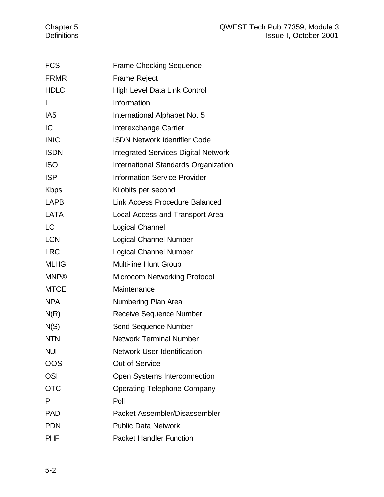| <b>FCS</b>      | <b>Frame Checking Sequence</b>             |
|-----------------|--------------------------------------------|
| <b>FRMR</b>     | <b>Frame Reject</b>                        |
| <b>HDLC</b>     | High Level Data Link Control               |
| I               | Information                                |
| IA <sub>5</sub> | International Alphabet No. 5               |
| IC              | Interexchange Carrier                      |
| <b>INIC</b>     | <b>ISDN Network Identifier Code</b>        |
| <b>ISDN</b>     | <b>Integrated Services Digital Network</b> |
| <b>ISO</b>      | International Standards Organization       |
| <b>ISP</b>      | <b>Information Service Provider</b>        |
| <b>Kbps</b>     | Kilobits per second                        |
| <b>LAPB</b>     | <b>Link Access Procedure Balanced</b>      |
| <b>LATA</b>     | Local Access and Transport Area            |
| <b>LC</b>       | <b>Logical Channel</b>                     |
| <b>LCN</b>      | <b>Logical Channel Number</b>              |
| <b>LRC</b>      | <b>Logical Channel Number</b>              |
| <b>MLHG</b>     | <b>Multi-line Hunt Group</b>               |
| <b>MNP®</b>     | <b>Microcom Networking Protocol</b>        |
| <b>MTCE</b>     | Maintenance                                |
| <b>NPA</b>      | Numbering Plan Area                        |
| N(R)            | Receive Sequence Number                    |
| N(S)            | <b>Send Sequence Number</b>                |
| <b>NTN</b>      | <b>Network Terminal Number</b>             |
| <b>NUI</b>      | <b>Network User Identification</b>         |
| OOS             | <b>Out of Service</b>                      |
| <b>OSI</b>      | Open Systems Interconnection               |
| <b>OTC</b>      | <b>Operating Telephone Company</b>         |
| P               | Poll                                       |
| <b>PAD</b>      | Packet Assembler/Disassembler              |
| <b>PDN</b>      | <b>Public Data Network</b>                 |
| <b>PHF</b>      | <b>Packet Handler Function</b>             |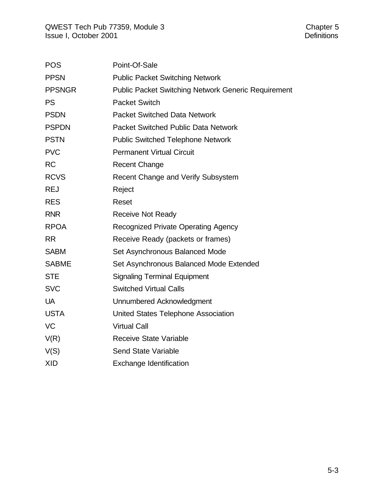| <b>POS</b>    | Point-Of-Sale                                              |
|---------------|------------------------------------------------------------|
| <b>PPSN</b>   | <b>Public Packet Switching Network</b>                     |
| <b>PPSNGR</b> | <b>Public Packet Switching Network Generic Requirement</b> |
| <b>PS</b>     | <b>Packet Switch</b>                                       |
| <b>PSDN</b>   | <b>Packet Switched Data Network</b>                        |
| <b>PSPDN</b>  | <b>Packet Switched Public Data Network</b>                 |
| <b>PSTN</b>   | <b>Public Switched Telephone Network</b>                   |
| <b>PVC</b>    | <b>Permanent Virtual Circuit</b>                           |
| <b>RC</b>     | <b>Recent Change</b>                                       |
| <b>RCVS</b>   | Recent Change and Verify Subsystem                         |
| <b>REJ</b>    | Reject                                                     |
| <b>RES</b>    | Reset                                                      |
| <b>RNR</b>    | <b>Receive Not Ready</b>                                   |
| <b>RPOA</b>   | <b>Recognized Private Operating Agency</b>                 |
| <b>RR</b>     | Receive Ready (packets or frames)                          |
| <b>SABM</b>   | Set Asynchronous Balanced Mode                             |
| <b>SABME</b>  | Set Asynchronous Balanced Mode Extended                    |
| <b>STE</b>    | <b>Signaling Terminal Equipment</b>                        |
| <b>SVC</b>    | <b>Switched Virtual Calls</b>                              |
| <b>UA</b>     | Unnumbered Acknowledgment                                  |
| <b>USTA</b>   | United States Telephone Association                        |
| <b>VC</b>     | <b>Virtual Call</b>                                        |
| V(R)          | <b>Receive State Variable</b>                              |
| V(S)          | <b>Send State Variable</b>                                 |
| <b>XID</b>    | <b>Exchange Identification</b>                             |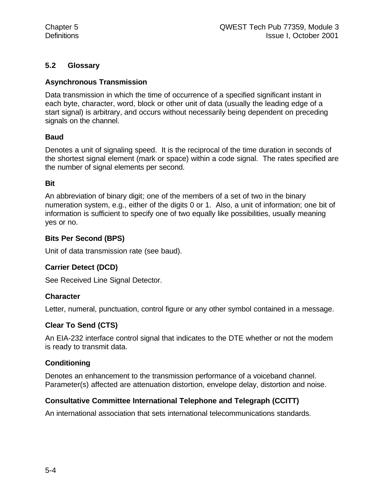# **5.2 Glossary**

# **Asynchronous Transmission**

Data transmission in which the time of occurrence of a specified significant instant in each byte, character, word, block or other unit of data (usually the leading edge of a start signal) is arbitrary, and occurs without necessarily being dependent on preceding signals on the channel.

# **Baud**

Denotes a unit of signaling speed. It is the reciprocal of the time duration in seconds of the shortest signal element (mark or space) within a code signal. The rates specified are the number of signal elements per second.

## **Bit**

An abbreviation of binary digit; one of the members of a set of two in the binary numeration system, e.g., either of the digits 0 or 1. Also, a unit of information; one bit of information is sufficient to specify one of two equally like possibilities, usually meaning yes or no.

## **Bits Per Second (BPS)**

Unit of data transmission rate (see baud).

# **Carrier Detect (DCD)**

See Received Line Signal Detector.

# **Character**

Letter, numeral, punctuation, control figure or any other symbol contained in a message.

# **Clear To Send (CTS)**

An EIA-232 interface control signal that indicates to the DTE whether or not the modem is ready to transmit data.

# **Conditioning**

Denotes an enhancement to the transmission performance of a voiceband channel. Parameter(s) affected are attenuation distortion, envelope delay, distortion and noise.

# **Consultative Committee International Telephone and Telegraph (CCITT)**

An international association that sets international telecommunications standards.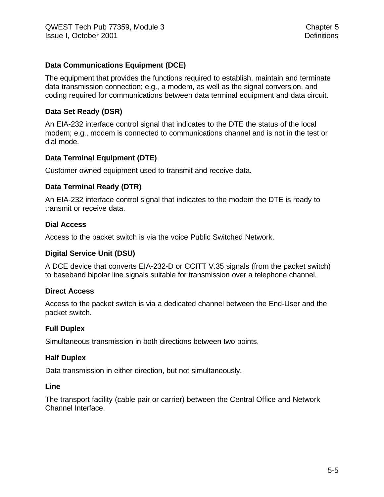# **Data Communications Equipment (DCE)**

The equipment that provides the functions required to establish, maintain and terminate data transmission connection; e.g., a modem, as well as the signal conversion, and coding required for communications between data terminal equipment and data circuit.

### **Data Set Ready (DSR)**

An EIA-232 interface control signal that indicates to the DTE the status of the local modem; e.g., modem is connected to communications channel and is not in the test or dial mode.

## **Data Terminal Equipment (DTE)**

Customer owned equipment used to transmit and receive data.

#### **Data Terminal Ready (DTR)**

An EIA-232 interface control signal that indicates to the modem the DTE is ready to transmit or receive data.

#### **Dial Access**

Access to the packet switch is via the voice Public Switched Network.

#### **Digital Service Unit (DSU)**

A DCE device that converts EIA-232-D or CCITT V.35 signals (from the packet switch) to baseband bipolar line signals suitable for transmission over a telephone channel.

#### **Direct Access**

Access to the packet switch is via a dedicated channel between the End-User and the packet switch.

#### **Full Duplex**

Simultaneous transmission in both directions between two points.

#### **Half Duplex**

Data transmission in either direction, but not simultaneously.

#### **Line**

The transport facility (cable pair or carrier) between the Central Office and Network Channel Interface.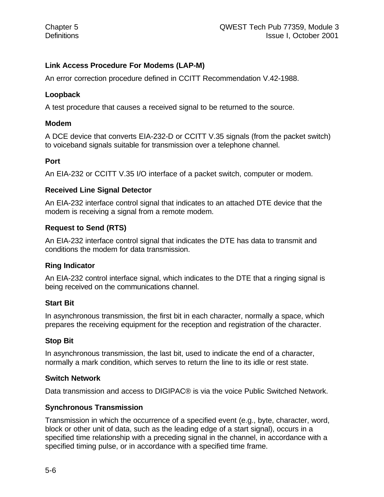# **Link Access Procedure For Modems (LAP-M)**

An error correction procedure defined in CCITT Recommendation V.42-1988.

# **Loopback**

A test procedure that causes a received signal to be returned to the source.

## **Modem**

A DCE device that converts EIA-232-D or CCITT V.35 signals (from the packet switch) to voiceband signals suitable for transmission over a telephone channel.

## **Port**

An EIA-232 or CCITT V.35 I/O interface of a packet switch, computer or modem.

## **Received Line Signal Detector**

An EIA-232 interface control signal that indicates to an attached DTE device that the modem is receiving a signal from a remote modem.

# **Request to Send (RTS)**

An EIA-232 interface control signal that indicates the DTE has data to transmit and conditions the modem for data transmission.

# **Ring Indicator**

An EIA-232 control interface signal, which indicates to the DTE that a ringing signal is being received on the communications channel.

# **Start Bit**

In asynchronous transmission, the first bit in each character, normally a space, which prepares the receiving equipment for the reception and registration of the character.

# **Stop Bit**

In asynchronous transmission, the last bit, used to indicate the end of a character, normally a mark condition, which serves to return the line to its idle or rest state.

#### **Switch Network**

Data transmission and access to DIGIPAC® is via the voice Public Switched Network.

# **Synchronous Transmission**

Transmission in which the occurrence of a specified event (e.g., byte, character, word, block or other unit of data, such as the leading edge of a start signal), occurs in a specified time relationship with a preceding signal in the channel, in accordance with a specified timing pulse, or in accordance with a specified time frame.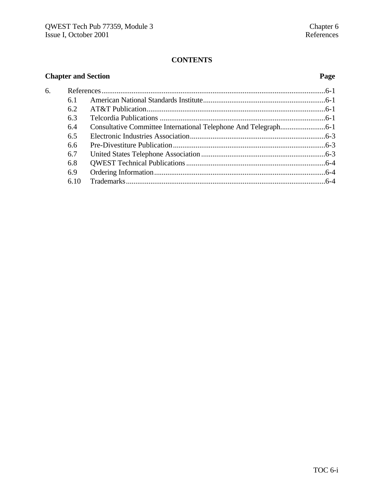# **CONTENTS**

| <b>Chapter and Section</b> |      | Page |  |
|----------------------------|------|------|--|
| 6.                         |      |      |  |
|                            | 6.1  |      |  |
|                            | 6.2  |      |  |
|                            | 6.3  |      |  |
|                            | 6.4  |      |  |
|                            | 6.5  |      |  |
|                            | 6.6  |      |  |
|                            | 6.7  |      |  |
|                            | 6.8  |      |  |
|                            | 6.9  |      |  |
|                            | 6.10 |      |  |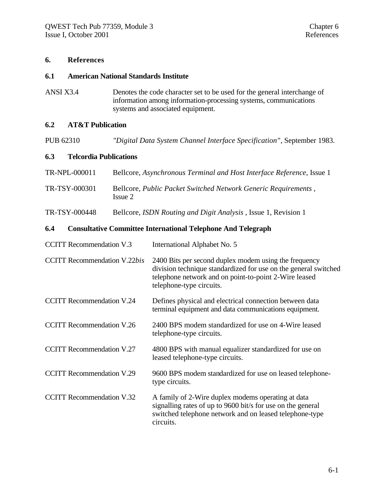#### **6. References**

#### **6.1 American National Standards Institute**

ANSI X3.4 Denotes the code character set to be used for the general interchange of information among information-processing systems, communications systems and associated equipment.

#### **6.2 AT&T Publication**

PUB 62310 *"Digital Data System Channel Interface Specification"*, September 1983.

#### **6.3 Telcordia Publications**

| TR-NPL-000011 | Bellcore, Asynchronous Terminal and Host Interface Reference, Issue 1     |
|---------------|---------------------------------------------------------------------------|
| TR-TSY-000301 | Bellcore, Public Packet Switched Network Generic Requirements,<br>Issue 2 |

TR-TSY-000448 Bellcore, *ISDN Routing and Digit Analysis* , Issue 1, Revision 1

#### **6.4 Consultative Committee International Telephone And Telegraph**

| <b>CCITT Recommendation V.3</b>     | International Alphabet No. 5                                                                                                                                                                                  |
|-------------------------------------|---------------------------------------------------------------------------------------------------------------------------------------------------------------------------------------------------------------|
| <b>CCITT Recommendation V.22bis</b> | 2400 Bits per second duplex modem using the frequency<br>division technique standardized for use on the general switched<br>telephone network and on point-to-point 2-Wire leased<br>telephone-type circuits. |
| <b>CCITT Recommendation V.24</b>    | Defines physical and electrical connection between data<br>terminal equipment and data communications equipment.                                                                                              |
| <b>CCITT</b> Recommendation V.26    | 2400 BPS modem standardized for use on 4-Wire leased<br>telephone-type circuits.                                                                                                                              |
| <b>CCITT Recommendation V.27</b>    | 4800 BPS with manual equalizer standardized for use on<br>leased telephone-type circuits.                                                                                                                     |
| <b>CCITT Recommendation V.29</b>    | 9600 BPS modem standardized for use on leased telephone-<br>type circuits.                                                                                                                                    |
| <b>CCITT Recommendation V.32</b>    | A family of 2-Wire duplex modems operating at data<br>signalling rates of up to 9600 bit/s for use on the general<br>switched telephone network and on leased telephone-type<br>circuits.                     |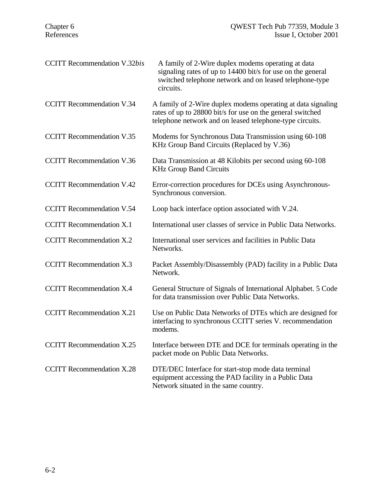| <b>CCITT</b> Recommendation V.32bis | A family of 2-Wire duplex modems operating at data<br>signaling rates of up to 14400 bit/s for use on the general<br>switched telephone network and on leased telephone-type<br>circuits. |
|-------------------------------------|-------------------------------------------------------------------------------------------------------------------------------------------------------------------------------------------|
| <b>CCITT Recommendation V.34</b>    | A family of 2-Wire duplex modems operating at data signaling<br>rates of up to 28800 bit/s for use on the general switched<br>telephone network and on leased telephone-type circuits.    |
| <b>CCITT Recommendation V.35</b>    | Modems for Synchronous Data Transmission using 60-108<br>KHz Group Band Circuits (Replaced by V.36)                                                                                       |
| <b>CCITT Recommendation V.36</b>    | Data Transmission at 48 Kilobits per second using 60-108<br><b>KHz Group Band Circuits</b>                                                                                                |
| <b>CCITT Recommendation V.42</b>    | Error-correction procedures for DCEs using Asynchronous-<br>Synchronous conversion.                                                                                                       |
| <b>CCITT Recommendation V.54</b>    | Loop back interface option associated with V.24.                                                                                                                                          |
| <b>CCITT Recommendation X.1</b>     | International user classes of service in Public Data Networks.                                                                                                                            |
| <b>CCITT</b> Recommendation X.2     | International user services and facilities in Public Data<br>Networks.                                                                                                                    |
| <b>CCITT Recommendation X.3</b>     | Packet Assembly/Disassembly (PAD) facility in a Public Data<br>Network.                                                                                                                   |
| <b>CCITT Recommendation X.4</b>     | General Structure of Signals of International Alphabet. 5 Code<br>for data transmission over Public Data Networks.                                                                        |
| <b>CCITT Recommendation X.21</b>    | Use on Public Data Networks of DTEs which are designed for<br>interfacing to synchronous CCITT series V. recommendation<br>modems.                                                        |
| <b>CCITT</b> Recommendation X.25    | Interface between DTE and DCE for terminals operating in the<br>packet mode on Public Data Networks.                                                                                      |
| <b>CCITT Recommendation X.28</b>    | DTE/DEC Interface for start-stop mode data terminal<br>equipment accessing the PAD facility in a Public Data<br>Network situated in the same country.                                     |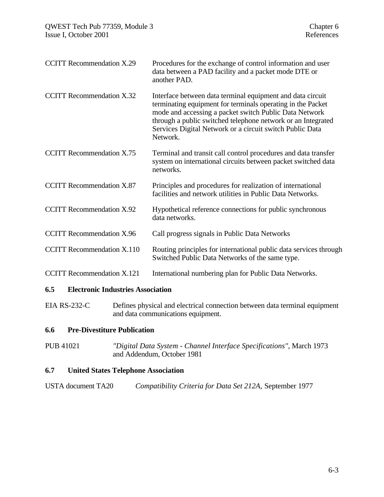| <b>CCITT Recommendation X.29</b>  | Procedures for the exchange of control information and user<br>data between a PAD facility and a packet mode DTE or<br>another PAD.                                                                                                                                                                                         |
|-----------------------------------|-----------------------------------------------------------------------------------------------------------------------------------------------------------------------------------------------------------------------------------------------------------------------------------------------------------------------------|
| <b>CCITT</b> Recommendation X.32  | Interface between data terminal equipment and data circuit<br>terminating equipment for terminals operating in the Packet<br>mode and accessing a packet switch Public Data Network<br>through a public switched telephone network or an Integrated<br>Services Digital Network or a circuit switch Public Data<br>Network. |
| <b>CCITT</b> Recommendation X.75  | Terminal and transit call control procedures and data transfer<br>system on international circuits between packet switched data<br>networks.                                                                                                                                                                                |
| <b>CCITT</b> Recommendation X.87  | Principles and procedures for realization of international<br>facilities and network utilities in Public Data Networks.                                                                                                                                                                                                     |
| <b>CCITT Recommendation X.92</b>  | Hypothetical reference connections for public synchronous<br>data networks.                                                                                                                                                                                                                                                 |
| <b>CCITT</b> Recommendation X.96  | Call progress signals in Public Data Networks                                                                                                                                                                                                                                                                               |
| <b>CCITT</b> Recommendation X.110 | Routing principles for international public data services through<br>Switched Public Data Networks of the same type.                                                                                                                                                                                                        |
| <b>CCITT</b> Recommendation X.121 | International numbering plan for Public Data Networks.                                                                                                                                                                                                                                                                      |
|                                   |                                                                                                                                                                                                                                                                                                                             |

#### **6.5 Electronic Industries Association**

EIA RS-232-C Defines physical and electrical connection between data terminal equipment and data communications equipment.

## **6.6 Pre-Divestiture Publication**

PUB 41021 *"Digital Data System - Channel Interface Specifications"*, March 1973 and Addendum, October 1981

# **6.7 United States Telephone Association**

| USTA document TA20 | Compatibility Criteria for Data Set 212A, September 1977 |  |  |
|--------------------|----------------------------------------------------------|--|--|
|--------------------|----------------------------------------------------------|--|--|